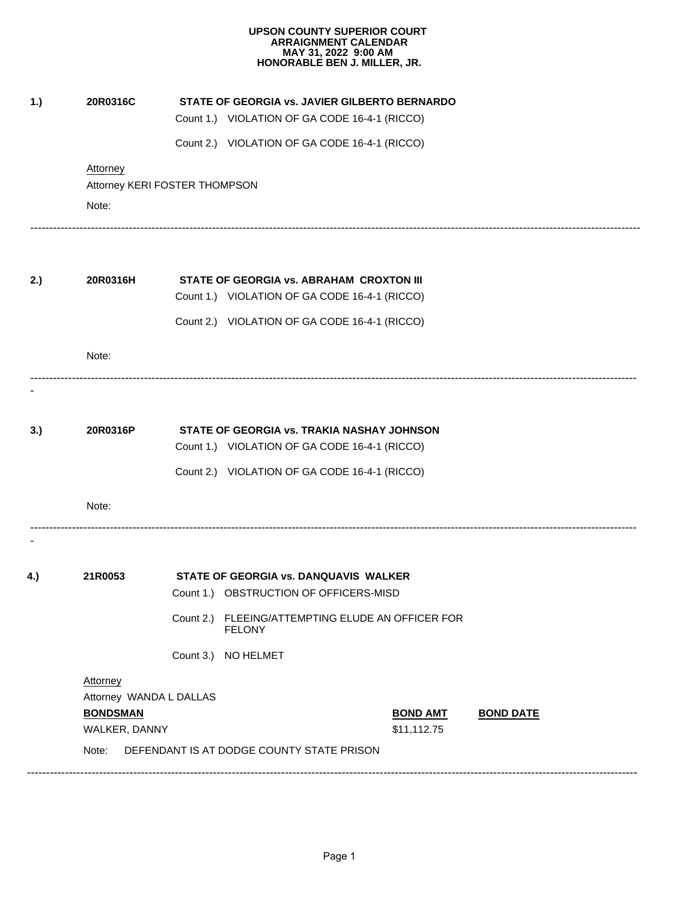| Attorney        |                                                  |                         |                                                      |                                                                                                                                                                                                                                                                                                                                                                                                                                                                                                                                                                                                          |
|-----------------|--------------------------------------------------|-------------------------|------------------------------------------------------|----------------------------------------------------------------------------------------------------------------------------------------------------------------------------------------------------------------------------------------------------------------------------------------------------------------------------------------------------------------------------------------------------------------------------------------------------------------------------------------------------------------------------------------------------------------------------------------------------------|
|                 |                                                  |                         |                                                      |                                                                                                                                                                                                                                                                                                                                                                                                                                                                                                                                                                                                          |
|                 |                                                  |                         |                                                      |                                                                                                                                                                                                                                                                                                                                                                                                                                                                                                                                                                                                          |
| 20R0316H        |                                                  |                         |                                                      |                                                                                                                                                                                                                                                                                                                                                                                                                                                                                                                                                                                                          |
|                 |                                                  |                         |                                                      |                                                                                                                                                                                                                                                                                                                                                                                                                                                                                                                                                                                                          |
|                 |                                                  |                         |                                                      |                                                                                                                                                                                                                                                                                                                                                                                                                                                                                                                                                                                                          |
| Note:           |                                                  |                         |                                                      |                                                                                                                                                                                                                                                                                                                                                                                                                                                                                                                                                                                                          |
|                 |                                                  |                         |                                                      |                                                                                                                                                                                                                                                                                                                                                                                                                                                                                                                                                                                                          |
|                 |                                                  |                         |                                                      |                                                                                                                                                                                                                                                                                                                                                                                                                                                                                                                                                                                                          |
|                 |                                                  |                         |                                                      |                                                                                                                                                                                                                                                                                                                                                                                                                                                                                                                                                                                                          |
| Note:           |                                                  |                         |                                                      |                                                                                                                                                                                                                                                                                                                                                                                                                                                                                                                                                                                                          |
|                 |                                                  |                         |                                                      |                                                                                                                                                                                                                                                                                                                                                                                                                                                                                                                                                                                                          |
| 21R0053         |                                                  |                         |                                                      |                                                                                                                                                                                                                                                                                                                                                                                                                                                                                                                                                                                                          |
|                 |                                                  |                         |                                                      |                                                                                                                                                                                                                                                                                                                                                                                                                                                                                                                                                                                                          |
|                 |                                                  | <b>FELONY</b>           |                                                      |                                                                                                                                                                                                                                                                                                                                                                                                                                                                                                                                                                                                          |
|                 |                                                  |                         |                                                      |                                                                                                                                                                                                                                                                                                                                                                                                                                                                                                                                                                                                          |
| <b>Attorney</b> |                                                  |                         |                                                      |                                                                                                                                                                                                                                                                                                                                                                                                                                                                                                                                                                                                          |
|                 |                                                  |                         |                                                      |                                                                                                                                                                                                                                                                                                                                                                                                                                                                                                                                                                                                          |
| WALKER, DANNY   |                                                  |                         | \$11,112.75                                          | <b>BOND DATE</b>                                                                                                                                                                                                                                                                                                                                                                                                                                                                                                                                                                                         |
|                 |                                                  |                         |                                                      |                                                                                                                                                                                                                                                                                                                                                                                                                                                                                                                                                                                                          |
|                 | 20R0316C<br>Note:<br>20R0316P<br><b>BONDSMAN</b> | Attorney WANDA L DALLAS | Attorney KERI FOSTER THOMPSON<br>Count 3.) NO HELMET | STATE OF GEORGIA vs. JAVIER GILBERTO BERNARDO<br>Count 1.) VIOLATION OF GA CODE 16-4-1 (RICCO)<br>Count 2.) VIOLATION OF GA CODE 16-4-1 (RICCO)<br>STATE OF GEORGIA vs. ABRAHAM CROXTON III<br>Count 1.) VIOLATION OF GA CODE 16-4-1 (RICCO)<br>Count 2.) VIOLATION OF GA CODE 16-4-1 (RICCO)<br>STATE OF GEORGIA vs. TRAKIA NASHAY JOHNSON<br>Count 1.) VIOLATION OF GA CODE 16-4-1 (RICCO)<br>Count 2.) VIOLATION OF GA CODE 16-4-1 (RICCO)<br>STATE OF GEORGIA vs. DANQUAVIS WALKER<br>Count 1.) OBSTRUCTION OF OFFICERS-MISD<br>Count 2.) FLEEING/ATTEMPTING ELUDE AN OFFICER FOR<br><b>BOND AMT</b> |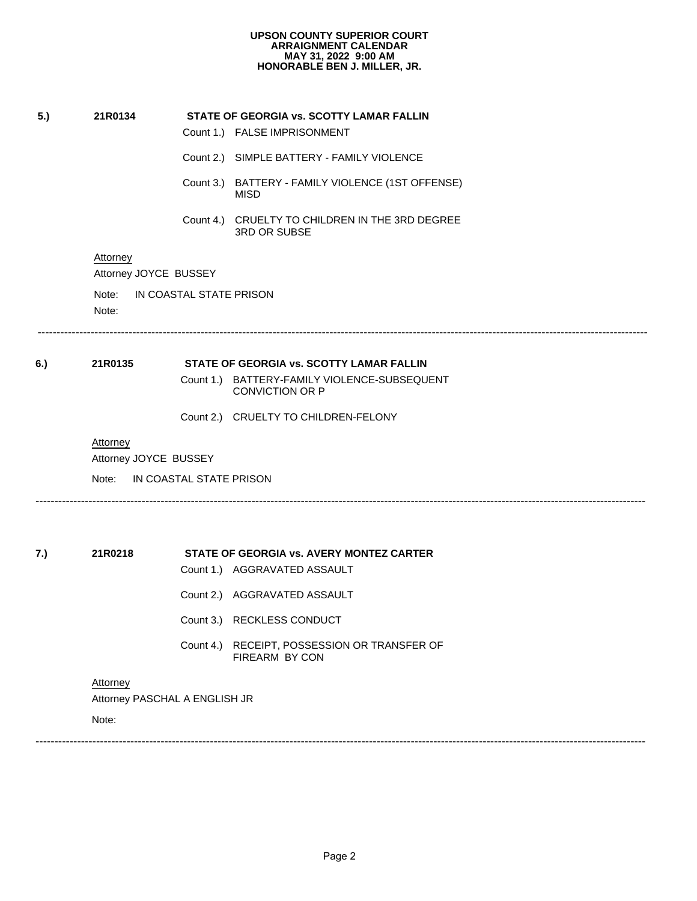- 
- 
- **5.)**<br> **5.1 21R0134 STATE OF GEORGIA vs. SCOTTY LAMAR FALLIN**<br>
Count 1.) FALSE IMPRISONMENT<br>
Count 2.) SIMPLE BATTERY FAMILY VIOLENCE<br>
Count 3.) BATTERY FAMILY VIOLENCE (1ST OFF<br>
MISD<br>
Count 4.) CRUELTY TO CHILDREN I **STATE OF GEORGIA vs. SCOTTY**<br>Count 1.) FALSE IMPRISONMENT<br>Count 2.) SIMPLE BATTERY - FAM<br>Count 3.) BATTERY - FAMILY VIO<br>MISD<br>Count 4.) CRUELTY TO CHILDREI<br>3RD OR SUBSE<br>USSEY STATE OF GEORGIA VS. SCOTTT LAMAR FALLI<br>Count 1.) FALSE IMPRISONMENT<br>Count 2.) SIMPLE BATTERY - FAMILY VIOLENCE<br>Count 3.) BATTERY - FAMILY VIOLENCE (1ST OF<br>MISD<br>Count 4.) CRUELTY TO CHILDREN IN THE 3RD L<br>3RD OR SUBSE<br>USSEY Count 2.) SIMPLE BATTERY - FAMILY VIOLENCE<br>
Count 3.) BATTERY - FAMILY VIOLENCE (1ST OFFENSE)<br>
MISD<br>
Count 4.) CRUELTY TO CHILDREN IN THE 3RD DEGREE<br>
3RD OR SUBSE<br>
USSEY<br>
AL STATE PRISON<br>
----------------------------------MISD
	- Count 3.) BATTERY FAMILY VIOLENCE (1ST OFFENSE<br>
	MISD<br>
	Count 4.) CRUELTY TO CHILDREN IN THE 3RD DEGREE<br>
	3RD OR SUBSE<br>
	USSEY<br>
	AL STATE PRISON<br>
	Count 1) BATTERY-FAMILY VIOLENCE-SUBSEQUENT 3RD OR SUBSE

Attorney

Attorney JOYCE BUSSEY

Note:

-----------------------------------------------------------------------------------------------------------------------------------------------------------------

Attorney<br>
Attorney JOYCE BUSSEY<br>
Note: IN COASTAL STATE PRISON<br>
Note:<br>
21R0135 STATE OF GEORO<br>
Count 1.) BATTER<br>
COUNVIC<br>
Count 2.) CRUELT<br>
Attorney<br>
Nutlemay IOVOF BUSSEY

**6.)**<br> **8.1 21R0135 STATE OF GEORGIA vs. SCOTTY LAMAR FALLIN**<br>
Count 1.) BATTERY-FAMILY VIOLENCE-SUBSEQU<br>
CONVICTION OR P<br>
Count 2.) CRUELTY TO CHILDREN-FELONY<br>
<u>Attorney</u><br>
Attorney JOYCE BUSSEY<br>
Note: IN COASTAL STATE Count 1.) BATTERY-FAMILY VIOLENCE-SUBSEQUENT CONVICTION OR P

**Attorney** 

Attorney JOYCE BUSSEY

-----------------------------------------------------------------------------------------------------------------------------------------------------------------

Count 1.) BATTERY-FAMILY VIOLENCE-SUE<br>CONVICTION OR P<br>Count 2.) CRUELTY TO CHILDREN-FELONY<br>USSEY<br>AL STATE PRISON<br>Count 1.) AGGRAVATED ASSAULT Note: IN COASTAL STATE PRISON **21R0218 STATE OF GEORGIA vs. AVERY MONTEZ CARTER**<br>
Count 1.) AGGRAVATED ASSAULT<br>
Count 2.) AGGRAVATED ASSAULT<br>
Count 3.) RECKLESS CONDUCT<br>
Count 4.) RECEIPT, POSSESSION OR TRANSFER (<br>
FIREARM BY CON<br>
Attorney<br>
Attorney **STATE OF GEORGIA vs. AVERY M**<br>Count 1.) AGGRAVATED ASSAULT<br>Count 2.) AGGRAVATED ASSAULT<br>Count 3.) RECKLESS CONDUCT<br>Count 4.) RECEIPT, POSSESSION<br>FIREARM BY CON<br>A ENGLISH JR SIATE OF GEORGIA VS. AVERT M<br>Count 1.) AGGRAVATED ASSAULT<br>Count 2.) AGGRAVATED ASSAULT<br>Count 3.) RECKLESS CONDUCT<br>Count 4.) RECEIPT, POSSESSION<br>FIREARM BY CON<br>A ENGLISH JR Count 3.) RECKLESS CONDUCT Count 4.) RECEIPT, POSSESSION OR TRANSFER OF FIREARM BY CON Attorney Attorney PASCHAL A ENGLISH JR Note: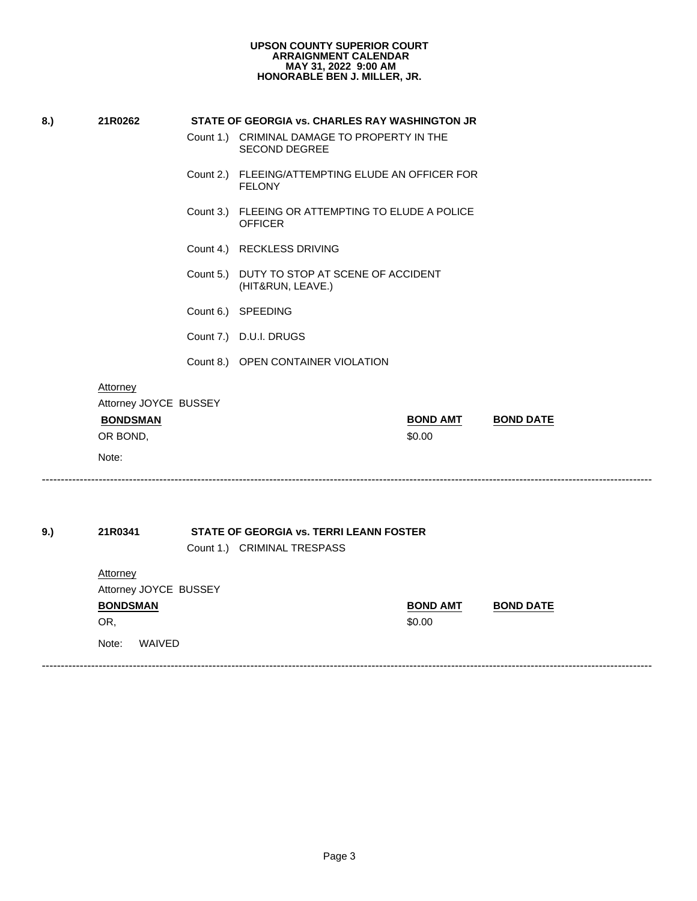| <b>UPSON COUNTY SUPERIOR COURT</b> |
|------------------------------------|
| <b>ARRAIGNMENT CALENDAR</b>        |
| MAY 31, 2022 9:00 AM               |
| HONORABLE BEN J. MILLER, JR.       |

| 8.) | 21R0262                                  | STATE OF GEORGIA vs. CHARLES RAY WASHINGTON JR                         |                           |                  |
|-----|------------------------------------------|------------------------------------------------------------------------|---------------------------|------------------|
|     |                                          | Count 1.) CRIMINAL DAMAGE TO PROPERTY IN THE<br><b>SECOND DEGREE</b>   |                           |                  |
|     |                                          | Count 2.) FLEEING/ATTEMPTING ELUDE AN OFFICER FOR<br><b>FELONY</b>     |                           |                  |
|     |                                          | Count 3.) FLEEING OR ATTEMPTING TO ELUDE A POLICE<br><b>OFFICER</b>    |                           |                  |
|     |                                          | Count 4.) RECKLESS DRIVING                                             |                           |                  |
|     |                                          | Count 5.) DUTY TO STOP AT SCENE OF ACCIDENT<br>(HIT&RUN, LEAVE.)       |                           |                  |
|     |                                          | Count 6.) SPEEDING                                                     |                           |                  |
|     |                                          | Count 7.) D.U.I. DRUGS                                                 |                           |                  |
|     |                                          | Count 8.) OPEN CONTAINER VIOLATION                                     |                           |                  |
|     | <b>Attorney</b><br>Attorney JOYCE BUSSEY |                                                                        |                           |                  |
|     | <b>BONDSMAN</b><br>OR BOND,              |                                                                        | <b>BOND AMT</b><br>\$0.00 | <b>BOND DATE</b> |
|     | Note:                                    |                                                                        |                           |                  |
|     |                                          |                                                                        |                           |                  |
|     |                                          |                                                                        |                           |                  |
|     |                                          |                                                                        |                           |                  |
|     | 21R0341                                  | STATE OF GEORGIA vs. TERRI LEANN FOSTER<br>Count 1.) CRIMINAL TRESPASS |                           |                  |
|     | <b>Attorney</b>                          |                                                                        |                           |                  |
|     | Attorney JOYCE BUSSEY                    |                                                                        |                           |                  |
|     | <b>BONDSMAN</b>                          |                                                                        | <b>BOND AMT</b>           | <b>BOND DATE</b> |
| 9.) | OR,                                      |                                                                        | \$0.00                    |                  |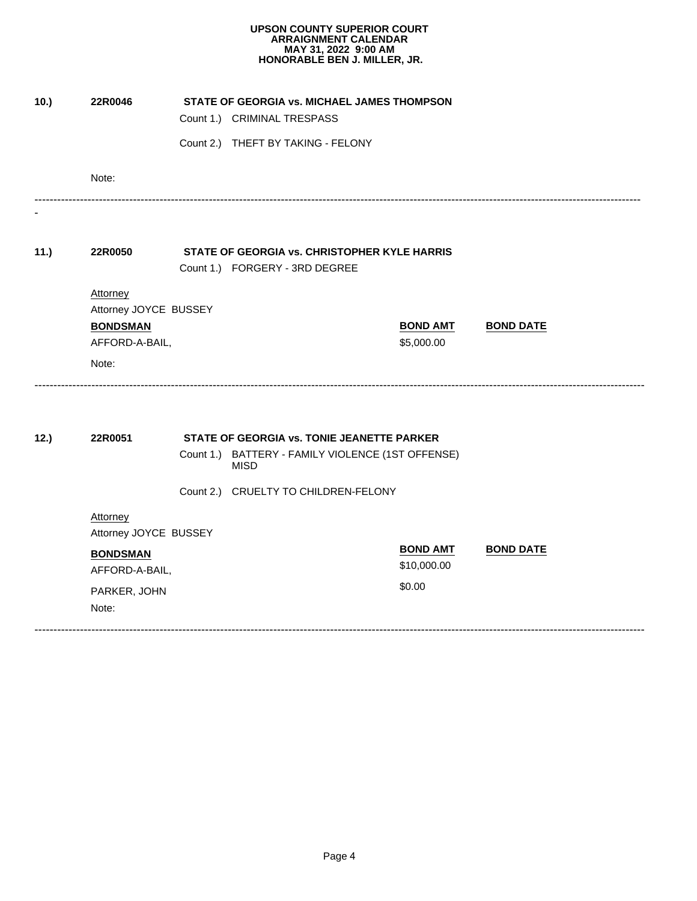| 10.) | 22R0046                           | <b>STATE OF GEORGIA VS. MICHAEL JAMES THOMPSON</b>               |                               |                  |
|------|-----------------------------------|------------------------------------------------------------------|-------------------------------|------------------|
|      |                                   | Count 1.) CRIMINAL TRESPASS                                      |                               |                  |
|      |                                   | Count 2.) THEFT BY TAKING - FELONY                               |                               |                  |
|      | Note:                             |                                                                  |                               |                  |
|      |                                   |                                                                  |                               |                  |
| 11.) | 22R0050                           | STATE OF GEORGIA vs. CHRISTOPHER KYLE HARRIS                     |                               |                  |
|      |                                   | Count 1.) FORGERY - 3RD DEGREE                                   |                               |                  |
|      | Attorney                          |                                                                  |                               |                  |
|      | Attorney JOYCE BUSSEY             |                                                                  |                               |                  |
|      | <b>BONDSMAN</b><br>AFFORD-A-BAIL, |                                                                  | <b>BOND AMT</b><br>\$5,000.00 | <b>BOND DATE</b> |
|      | Note:                             |                                                                  |                               |                  |
|      |                                   |                                                                  |                               |                  |
| 12.) | 22R0051                           | STATE OF GEORGIA vs. TONIE JEANETTE PARKER                       |                               |                  |
|      |                                   | Count 1.) BATTERY - FAMILY VIOLENCE (1ST OFFENSE)<br><b>MISD</b> |                               |                  |
|      |                                   | Count 2.) CRUELTY TO CHILDREN-FELONY                             |                               |                  |
|      | Attorney<br>Attorney JOYCE BUSSEY |                                                                  |                               |                  |
|      | <b>BONDSMAN</b>                   |                                                                  | <b>BOND AMT</b>               | <b>BOND DATE</b> |
|      | AFFORD-A-BAIL,                    |                                                                  | \$10,000.00                   |                  |
|      | PARKER, JOHN                      |                                                                  | \$0.00                        |                  |
|      | Note:                             |                                                                  |                               |                  |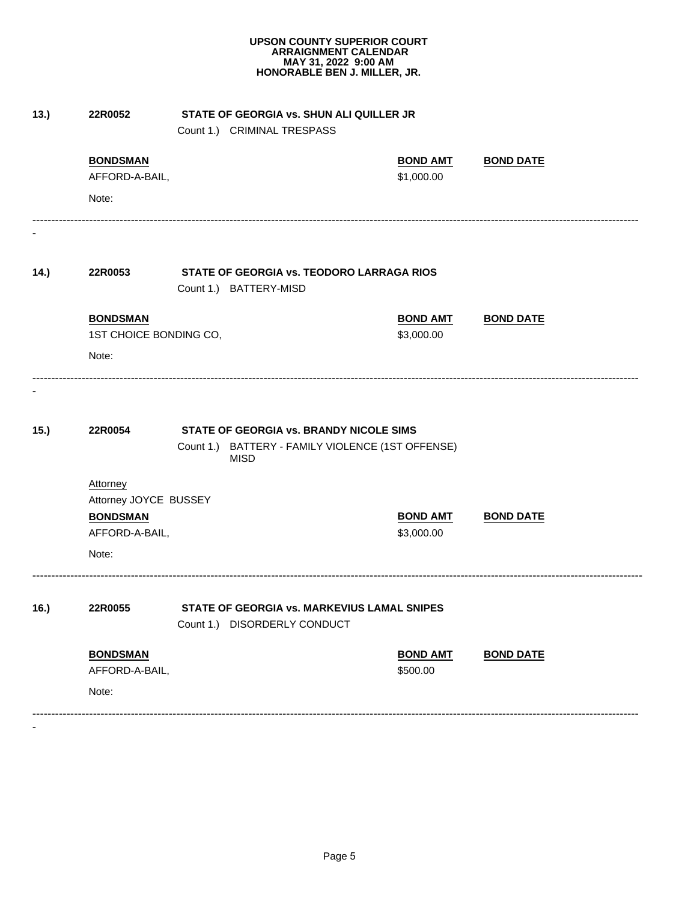| 13.) | 22R0052                                                                         | STATE OF GEORGIA vs. SHUN ALI QUILLER JR<br>Count 1.) CRIMINAL TRESPASS                      |                               |                  |
|------|---------------------------------------------------------------------------------|----------------------------------------------------------------------------------------------|-------------------------------|------------------|
|      | <b>BONDSMAN</b>                                                                 |                                                                                              | <b>BOND AMT</b>               | <b>BOND DATE</b> |
|      | AFFORD-A-BAIL,                                                                  |                                                                                              | \$1,000.00                    |                  |
|      | Note:                                                                           |                                                                                              |                               |                  |
| 14.) | 22R0053                                                                         | STATE OF GEORGIA vs. TEODORO LARRAGA RIOS                                                    |                               |                  |
|      |                                                                                 | Count 1.) BATTERY-MISD                                                                       |                               |                  |
|      | <b>BONDSMAN</b>                                                                 |                                                                                              | <b>BOND AMT</b>               | <b>BOND DATE</b> |
|      | 1ST CHOICE BONDING CO,                                                          |                                                                                              | \$3,000.00                    |                  |
|      | Note:                                                                           |                                                                                              |                               |                  |
| 15.) | 22R0054                                                                         | STATE OF GEORGIA vs. BRANDY NICOLE SIMS<br>Count 1.) BATTERY - FAMILY VIOLENCE (1ST OFFENSE) |                               |                  |
|      | Attorney<br>Attorney JOYCE BUSSEY<br><b>BONDSMAN</b><br>AFFORD-A-BAIL,<br>Note: | <b>MISD</b>                                                                                  | <b>BOND AMT</b><br>\$3,000.00 | <b>BOND DATE</b> |
| 16.) | 22R0055                                                                         | STATE OF GEORGIA vs. MARKEVIUS LAMAL SNIPES<br>Count 1.) DISORDERLY CONDUCT                  |                               |                  |
|      | <b>BONDSMAN</b>                                                                 |                                                                                              | <b>BOND AMT</b>               | <b>BOND DATE</b> |
|      | AFFORD-A-BAIL,<br>Note:                                                         |                                                                                              | \$500.00                      |                  |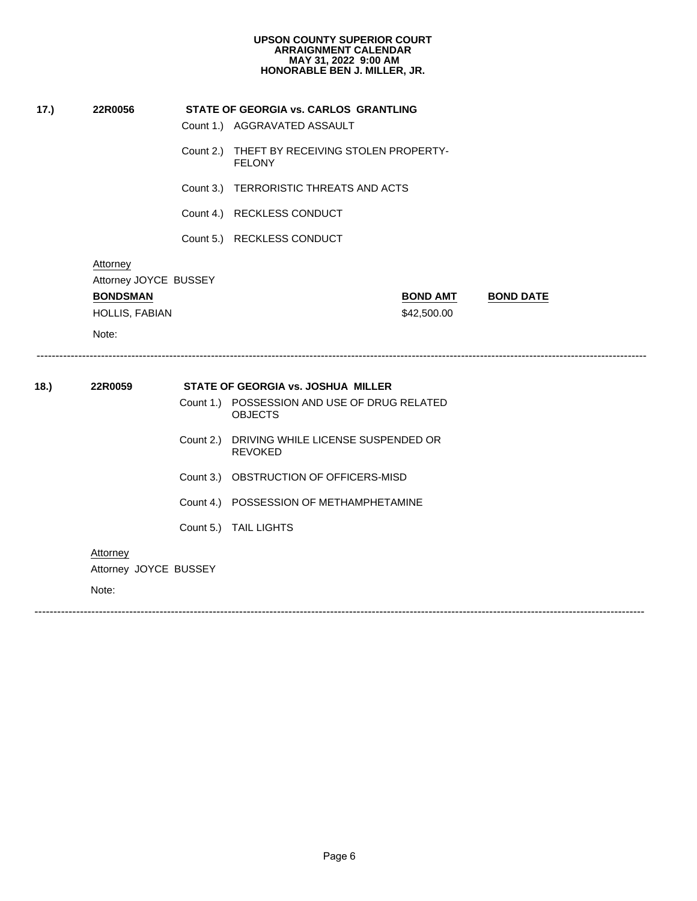|      |                                                                        | Count 1.) AGGRAVATED ASSAULT                                   |
|------|------------------------------------------------------------------------|----------------------------------------------------------------|
|      |                                                                        |                                                                |
|      |                                                                        | Count 2.) THEFT BY RECEIVING STOLEN PROPERTY-<br><b>FELONY</b> |
|      |                                                                        | Count 3.) TERRORISTIC THREATS AND ACTS                         |
|      |                                                                        | Count 4.) RECKLESS CONDUCT                                     |
|      |                                                                        | Count 5.) RECKLESS CONDUCT                                     |
|      | Attorney<br>Attorney JOYCE BUSSEY<br><b>BONDSMAN</b><br>HOLLIS, FABIAN | <b>BOND AMT</b><br><b>BOND DATE</b><br>\$42,500.00             |
|      | Note:                                                                  |                                                                |
|      |                                                                        |                                                                |
| 18.) | 22R0059                                                                | STATE OF GEORGIA vs. JOSHUA MILLER                             |
|      |                                                                        | Count 1.) POSSESSION AND USE OF DRUG RELATED<br><b>OBJECTS</b> |
|      |                                                                        | Count 2.) DRIVING WHILE LICENSE SUSPENDED OR<br><b>REVOKED</b> |
|      |                                                                        | Count 3.) OBSTRUCTION OF OFFICERS-MISD                         |
|      |                                                                        | Count 4.) POSSESSION OF METHAMPHETAMINE                        |
|      |                                                                        | Count 5.) TAIL LIGHTS                                          |
|      | <b>Attorney</b>                                                        |                                                                |
|      | Attorney JOYCE BUSSEY                                                  |                                                                |
|      | Note:                                                                  |                                                                |
|      |                                                                        |                                                                |
|      |                                                                        |                                                                |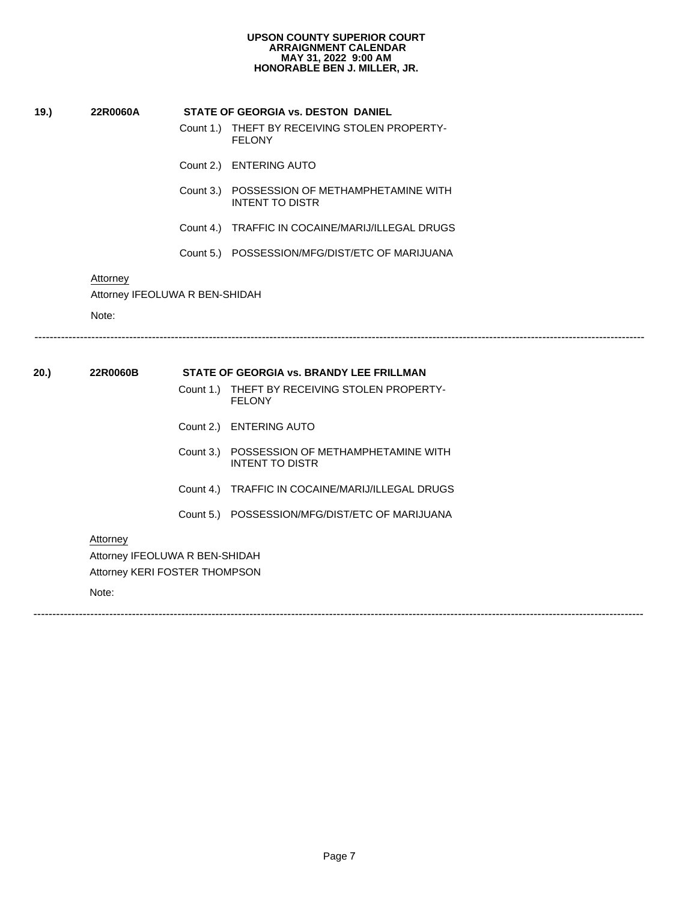- FELONY
- 
- **19.)**<br> **22R0060A 22R0060A STATE OF GEORGIA vs. DESTON DANIEL**<br>
Count 1.) THEFT BY RECEIVING STOLEN F<br>
FELONY<br>
Count 2.) ENTERING AUTO<br>
Count 3.) POSSESSION OF METHAMPHET.<br>
INTENT TO DISTR<br>
Count 4.) TRAFFIC IN COCAI STATE OF GEORGIA vs. DESTON DANIEL<br>
Count 1.) THEFT BY RECEIVING STOLEN PROPERTY-<br>
FELONY<br>
Count 2.) ENTERING AUTO<br>
Count 3.) POSSESSION OF METHAMPHETAMINE WITI<br>
INTENT TO DISTR<br>
Count 4.) TRAFFIC IN COCAINE/MARIJ/ILLEGAL Count 1.) THEFT BY RECEI<br>FELONY<br>Count 2.) ENTERING AUTO<br>Count 3.) POSSESSION OF<br>INTENT TO DISTF<br>Count 4.) TRAFFIC IN COC<br>Count 5.) POSSESSION/MF<br>OLUWA R BEN-SHIDAH Count 2.) ENTERING AUTO<br>
Count 3.) POSSESSION OF METHAMPHETAMINE WITH<br>
INTENT TO DISTR<br>
Count 4.) TRAFFIC IN COCAINE/MARIJ/ILLEGAL DRUGS<br>
Count 5.) POSSESSION/MFG/DIST/ETC OF MARIJUANA<br>
A R BEN-SHIDAH<br>
.................... INTENT TO DISTR
	-
	-

-----------------------------------------------------------------------------------------------------------------------------------------------------------------

# **Attorney**

Attorney IFEOLUWA R BEN-SHIDAH

Note:

# Count 3.) POSSESSION OF METHAMPHETAMINE WITH<br>INTENT TO DISTR<br>Count 4.) TRAFFIC IN COCAINE/MARIJ/ILLEGAL DRUGS<br>Count 5.) POSSESSION/MFG/DIST/ETC OF MARIJUANA<br>A R BEN-SHIDAH<br>STATE OF GEORGIA vs. BRANDY LEE FRILLMAN<br>Count 1.) Count 4.) TRAFFIC IN COCAINE/MARIJ/ILLEGAL DRUGS<br>Count 5.) POSSESSION/MFG/DIST/ETC OF MARIJUANA<br>A R BEN-SHIDAH<br>COUNT THEFT BY RECEIVING STOLEN PROPERTY-FELONY **20.) 22R0060B STATE OF GEORGIA vs. BRANDY LEE FRILLMAN** STATE OF GEORGIA vs. BRANDY LEE FRILLMAN<br>
Count 1.) THEFT BY RECEIVING STOLEN PROPERTY-<br>
FELONY<br>
Count 2.) ENTERING AUTO<br>
Count 3.) POSSESSION OF METHAMPHETAMINE WITI<br>
INTENT TO DISTR<br>
Count 4.) TRAFFIC IN COCAINE/MARIJ/IL FELONY Count 1.) THEFT BY RECEI<br>FELONY<br>Count 2.) ENTERING AUTO<br>Count 3.) POSSESSION OF<br>INTENT TO DISTE<br>Count 4.) TRAFFIC IN COC<br>Count 5.) POSSESSION/MF<br>OLUWA R BEN-SHIDAH<br>RI FOSTER THOMPSON Count 2.) ENTERING AUTO<br>Count 3.) POSSESSION OF METHAMPHETAMINE WITH<br>INTENT TO DISTR<br>Count 4.) TRAFFIC IN COCAINE/MARIJ/ILLEGAL DRUGS<br>Count 5.) POSSESSION/MFG/DIST/ETC OF MARIJUANA<br>A R BEN-SHIDAH<br>TER THOMPSON INTENT TO DISTR Count 4.) TRAFFIC IN COCAINE/MARIJ/ILLEGAL DRUGS Count 5.) POSSESSION/MFG/DIST/ETC OF MARIJUANA Attorney Attorney IFEOLUWA R BEN-SHIDAH Attorney KERI FOSTER THOMPSON Note: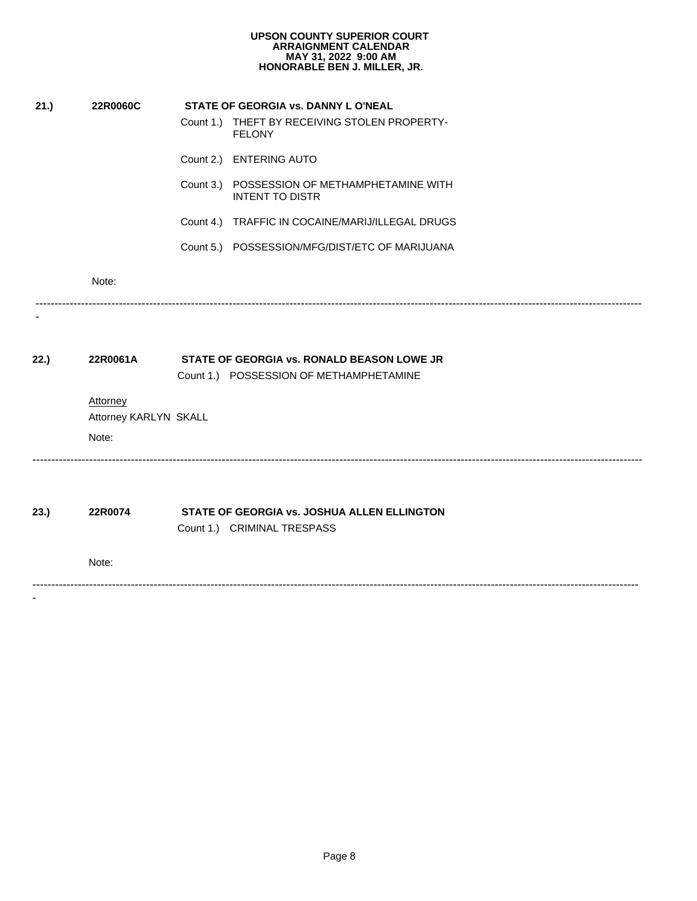|          | <b>UPSON COUNTY SUPERIOR COURT</b><br><b>ARRAIGNMENT CALENDAR</b><br>MAY 31, 2022 9:00 AM<br>HONORABLE BEN J. MILLER, JR. |
|----------|---------------------------------------------------------------------------------------------------------------------------|
| 22R0060C | STATE OF GEORGIA vs. DANNY L O'NEAL                                                                                       |
|          | Count 1.) THEFT BY RECEIVING STOLEN PROPERTY-<br><b>FELONY</b>                                                            |
|          | Count 2.) ENTERING AUTO                                                                                                   |
|          | Count 3.) POSSESSION OF METHAMPHETAMINE WITH<br><b>INTENT TO DISTR</b>                                                    |
|          | Count 4.) TRAFFIC IN COCAINE/MARIJ/ILLEGAL DRUGS                                                                          |
|          | Count 5.) POSSESSION/MFG/DIST/ETC OF MARIJUANA                                                                            |
| Note:    |                                                                                                                           |
|          |                                                                                                                           |
| 22R0061A | STATE OF GEORGIA vs. RONALD BEASON LOWE JR<br>Count 1.) POSSESSION OF METHAMPHETAMINE                                     |
| Attorney |                                                                                                                           |
|          |                                                                                                                           |
|          |                                                                                                                           |
| 22R0074  | STATE OF GEORGIA vs. JOSHUA ALLEN ELLINGTON<br>Count 1.) CRIMINAL TRESPASS                                                |
| Note:    |                                                                                                                           |
|          |                                                                                                                           |
|          |                                                                                                                           |
|          |                                                                                                                           |
|          |                                                                                                                           |
|          | Attorney KARLYN SKALL<br>Note:                                                                                            |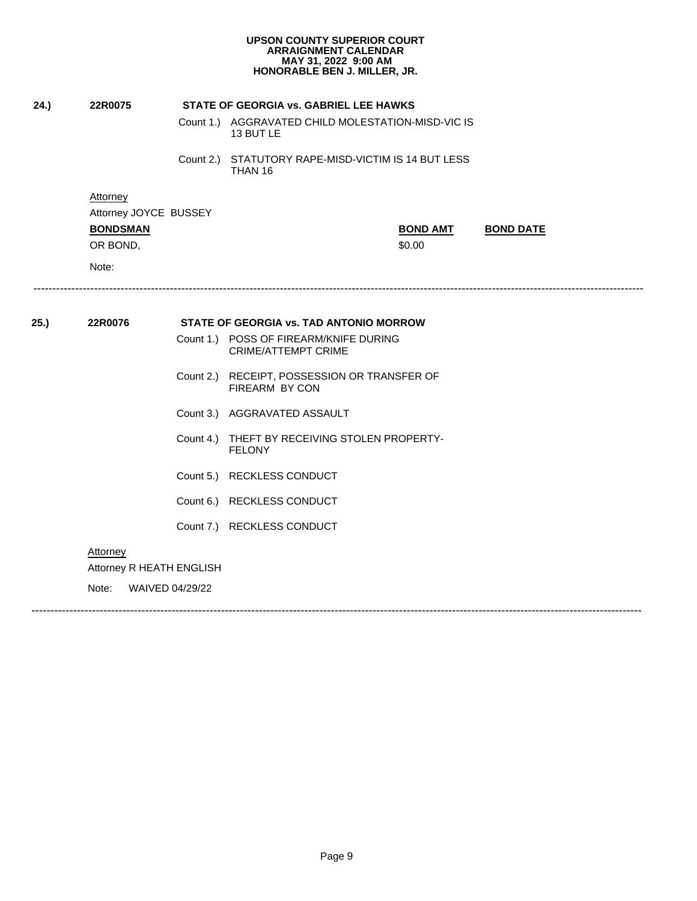| 24.)<br>22R0075<br><b>Attorney</b><br>Attorney JOYCE BUSSEY<br><b>BONDSMAN</b><br>OR BOND,<br>Note:<br>22R0076<br><b>FELONY</b> | STATE OF GEORGIA vs. GABRIEL LEE HAWKS<br>Count 1.) AGGRAVATED CHILD MOLESTATION-MISD-VIC IS<br>13 BUT LE<br>Count 2.) STATUTORY RAPE-MISD-VICTIM IS 14 BUT LESS<br>THAN 16<br><b>BOND AMT</b><br><b>BOND DATE</b><br>\$0.00<br><b>STATE OF GEORGIA vs. TAD ANTONIO MORROW</b><br>Count 1.) POSS OF FIREARM/KNIFE DURING<br><b>CRIME/ATTEMPT CRIME</b> |
|---------------------------------------------------------------------------------------------------------------------------------|--------------------------------------------------------------------------------------------------------------------------------------------------------------------------------------------------------------------------------------------------------------------------------------------------------------------------------------------------------|
|                                                                                                                                 |                                                                                                                                                                                                                                                                                                                                                        |
|                                                                                                                                 |                                                                                                                                                                                                                                                                                                                                                        |
|                                                                                                                                 |                                                                                                                                                                                                                                                                                                                                                        |
| 25.)                                                                                                                            |                                                                                                                                                                                                                                                                                                                                                        |
|                                                                                                                                 |                                                                                                                                                                                                                                                                                                                                                        |
|                                                                                                                                 |                                                                                                                                                                                                                                                                                                                                                        |
|                                                                                                                                 |                                                                                                                                                                                                                                                                                                                                                        |
|                                                                                                                                 |                                                                                                                                                                                                                                                                                                                                                        |
|                                                                                                                                 |                                                                                                                                                                                                                                                                                                                                                        |
|                                                                                                                                 |                                                                                                                                                                                                                                                                                                                                                        |
|                                                                                                                                 | Count 2.) RECEIPT, POSSESSION OR TRANSFER OF<br>FIREARM BY CON                                                                                                                                                                                                                                                                                         |
|                                                                                                                                 | Count 3.) AGGRAVATED ASSAULT                                                                                                                                                                                                                                                                                                                           |
|                                                                                                                                 | Count 4.) THEFT BY RECEIVING STOLEN PROPERTY-                                                                                                                                                                                                                                                                                                          |
|                                                                                                                                 | Count 5.) RECKLESS CONDUCT                                                                                                                                                                                                                                                                                                                             |
|                                                                                                                                 | Count 6.) RECKLESS CONDUCT                                                                                                                                                                                                                                                                                                                             |
|                                                                                                                                 | Count 7.) RECKLESS CONDUCT                                                                                                                                                                                                                                                                                                                             |
| Attorney                                                                                                                        |                                                                                                                                                                                                                                                                                                                                                        |
| Attorney R HEATH ENGLISH                                                                                                        |                                                                                                                                                                                                                                                                                                                                                        |
| WAIVED 04/29/22<br>Note:                                                                                                        |                                                                                                                                                                                                                                                                                                                                                        |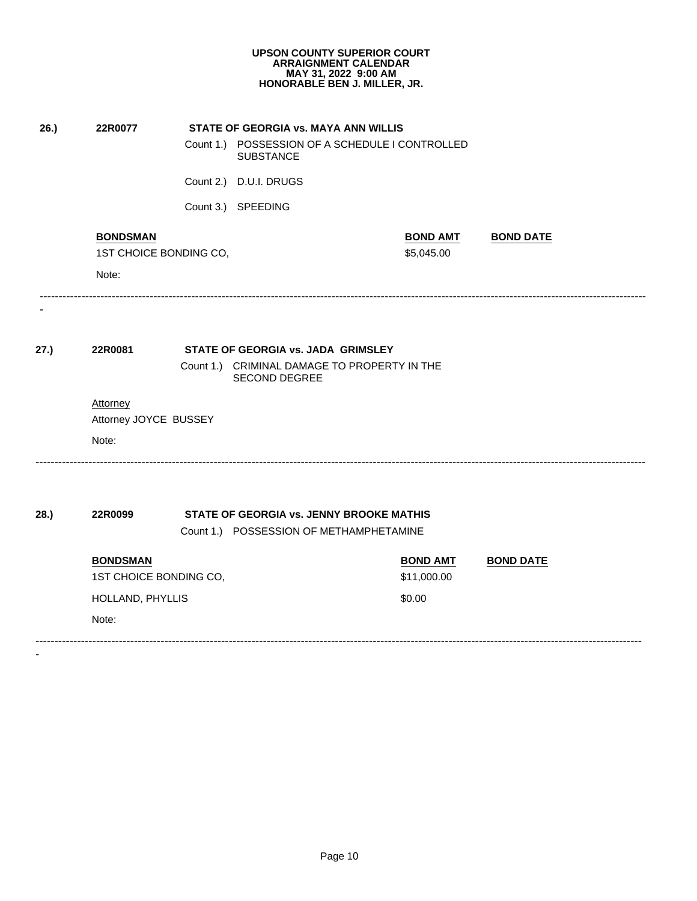| 26.) | 22R0077                |                        | STATE OF GEORGIA vs. MAYA ANN WILLIS                                                |                 |                  |  |
|------|------------------------|------------------------|-------------------------------------------------------------------------------------|-----------------|------------------|--|
|      |                        |                        | Count 1.) POSSESSION OF A SCHEDULE I CONTROLLED<br><b>SUBSTANCE</b>                 |                 |                  |  |
|      |                        |                        | Count 2.) D.U.I. DRUGS                                                              |                 |                  |  |
|      |                        |                        | Count 3.) SPEEDING                                                                  |                 |                  |  |
|      | <b>BONDSMAN</b>        |                        |                                                                                     | <b>BOND AMT</b> | <b>BOND DATE</b> |  |
|      |                        | 1ST CHOICE BONDING CO, |                                                                                     | \$5,045.00      |                  |  |
|      | Note:                  |                        |                                                                                     |                 |                  |  |
|      |                        |                        |                                                                                     |                 |                  |  |
| 27.) | 22R0081                |                        | STATE OF GEORGIA vs. JADA GRIMSLEY                                                  |                 |                  |  |
|      |                        |                        | Count 1.) CRIMINAL DAMAGE TO PROPERTY IN THE<br><b>SECOND DEGREE</b>                |                 |                  |  |
|      | Attorney               |                        |                                                                                     |                 |                  |  |
|      | Attorney JOYCE BUSSEY  |                        |                                                                                     |                 |                  |  |
|      | Note:                  |                        |                                                                                     |                 |                  |  |
|      |                        |                        |                                                                                     |                 |                  |  |
| 28.) | 22R0099                |                        | STATE OF GEORGIA vs. JENNY BROOKE MATHIS<br>Count 1.) POSSESSION OF METHAMPHETAMINE |                 |                  |  |
|      | <b>BONDSMAN</b>        |                        |                                                                                     | <b>BOND AMT</b> | <b>BOND DATE</b> |  |
|      | 1ST CHOICE BONDING CO, |                        |                                                                                     | \$11,000.00     |                  |  |
|      | HOLLAND, PHYLLIS       |                        |                                                                                     | \$0.00          |                  |  |
|      | Note:                  |                        |                                                                                     |                 |                  |  |
|      |                        |                        |                                                                                     |                 |                  |  |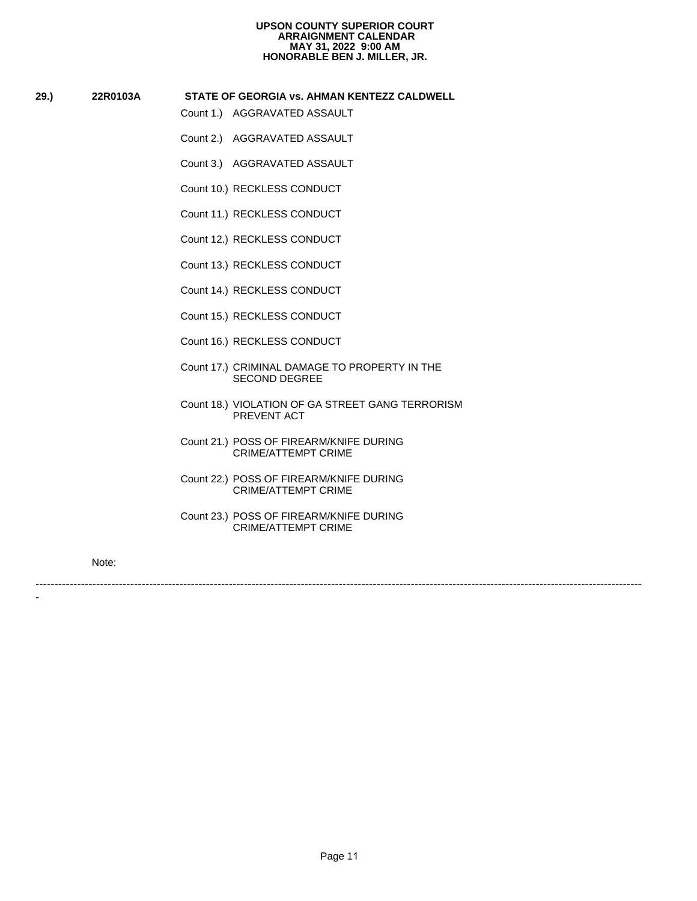# **29.) 22R0103A STATE OF GEORGIA vs. AHMAN KENTEZZ CALDWELL STATE OF GEORGIA vs. AHMAN K**<br>Count 1.) AGGRAVATED ASSAULT<br>Count 2.) AGGRAVATED ASSAULT<br>Count 3.) AGGRAVATED ASSAULT<br>Count 10.) RECKLESS CONDUCT<br>Count 12.) RECKLESS CONDUCT<br>Count 12.) RECKLESS CONDUCT

- 
- STATE OF GEORGIA VS. AHMAN K<br>Count 1.) AGGRAVATED ASSAULT<br>Count 2.) AGGRAVATED ASSAULT<br>Count 10.) RECKLESS CONDUCT<br>Count 11.) RECKLESS CONDUCT<br>Count 12.) RECKLESS CONDUCT<br>Count 13.) RECKLESS CONDUCT<br>Count 13.) RECKLESS CON Count 2.) AGGRAVATED ASSAULT<br>Count 3.) AGGRAVATED ASSAULT<br>Count 10.) RECKLESS CONDUCT<br>Count 11.) RECKLESS CONDUCT<br>Count 12.) RECKLESS CONDUCT<br>Count 13.) RECKLESS CONDUCT<br>Count 14.) RECKLESS CONDUCT
- 
- 
- 
- 
- 
- Count 3.) AGGRAVATED ASSAU<br>Count 10.) RECKLESS CONDUCT<br>Count 11.) RECKLESS CONDUCT<br>Count 12.) RECKLESS CONDUCT<br>Count 13.) RECKLESS CONDUCT<br>Count 15.) RECKLESS CONDUCT<br>Count 15.) RECKLESS CONDUCT
- 
- 
- Count 10.) RECKLESS CONDUCT<br>Count 11.) RECKLESS CONDUCT<br>Count 12.) RECKLESS CONDUCT<br>Count 13.) RECKLESS CONDUCT<br>Count 14.) RECKLESS CONDUCT<br>Count 15.) RECKLESS CONDUCT<br>Count 16.) RECKLESS CONDUCT<br>Count 17.) CRIMINAL DAMAGE Count 11.) RECKLESS CONDUCT<br>Count 12.) RECKLESS CONDUCT<br>Count 13.) RECKLESS CONDUCT<br>Count 14.) RECKLESS CONDUCT<br>Count 15.) RECKLESS CONDUCT<br>Count 16.) RECKLESS CONDUCT<br>Count 17.) CRIMINAL DAMAGE TO<br>SECOND DEGREE Count 12.) RECKLESS CONDUCT<br>Count 13.) RECKLESS CONDUCT<br>Count 14.) RECKLESS CONDUCT<br>Count 15.) RECKLESS CONDUCT<br>Count 16.) RECKLESS CONDUCT<br>Count 17.) CRIMINAL DAMAGE TO<br>SECOND DEGREE<br>Count 18.) VIOLATION OF GA STF<br>PREVENT Count 13.) RECKLESS CONDUCT<br>Count 14.) RECKLESS CONDUCT<br>Count 15.) RECKLESS CONDUCT<br>Count 16.) RECKLESS CONDUCT<br>Count 17.) CRIMINAL DAMAGE TO<br>SECOND DEGREE<br>Count 18.) VIOLATION OF GA STF<br>PREVENT ACT<br>Count 21.) POSS OF FIRE Count 16.) RECKLESS CONDUCT<br>
Count 17.) CRIMINAL DAMAGE TO PROPERTY IN THE<br>
SECOND DEGREE<br>
Count 18.) VIOLATION OF GA STREET GANG TERROF<br>
PREVENT ACT<br>
Count 21.) POSS OF FIREARM/KNIFE DURING<br>
CRIME/ATTEMPT CRIME<br>
Count 22. SECOND DEGREE
- Count 17.) CRIMINAL DAMAGE TO PROPERTY IN THE<br>SECOND DEGREE<br>Count 18.) VIOLATION OF GA STREET GANG TERRORISM<br>PREVENT ACT<br>Count 21.) POSS OF FIREARM/KNIFE DURING<br>CRIME/ATTEMPT CRIME<br>Count 23.) POSS OF FIREARM/KNIFE DURING<br>C PREVENT ACT

----------------------------------------------------------------------------------------------------------------------------------------------------------------

- Count 14.) RECKLESS CONDUCT<br>Count 15.) RECKLESS CONDUCT<br>Count 16.) RECKLESS CONDUCT<br>Count 17.) CRIMINAL DAMAGE T(<br>SECOND DEGREE<br>Count 18.) VIOLATION OF GA STF<br>PREVENT ACT<br>Count 21.) POSS OF FIREARM/KN<br>CRIME/ATTEMPT CRIN Count 15.) RECKLESS CONDUCT<br>Count 16.) RECKLESS CONDUCT<br>Count 17.) CRIMINAL DAMAGE TO<br>SECOND DEGREE<br>Count 18.) VIOLATION OF GA STF<br>PREVENT ACT<br>Count 21.) POSS OF FIREARM/KN<br>CRIME/ATTEMPT CRIN<br>Count 22.) POSS OF FIREARM/KN<br> Count 18.) VIOLATION OF GA STREET GANG<br>
PREVENT ACT<br>
Count 21.) POSS OF FIREARM/KNIFE DURING<br>
CRIME/ATTEMPT CRIME<br>
Count 22.) POSS OF FIREARM/KNIFE DURING<br>
CRIME/ATTEMPT CRIME<br>
Count 23.) POSS OF FIREARM/KNIFE DURING<br>
CRIM CRIME/ATTEMPT CRIME
- Count 22.) POSS OF FIREARM/KNIFE DURING CRIME/ATTEMPT CRIME
- Count 23.) POSS OF FIREARM/KNIFE DURING CRIME/ATTEMPT CRIME

Note: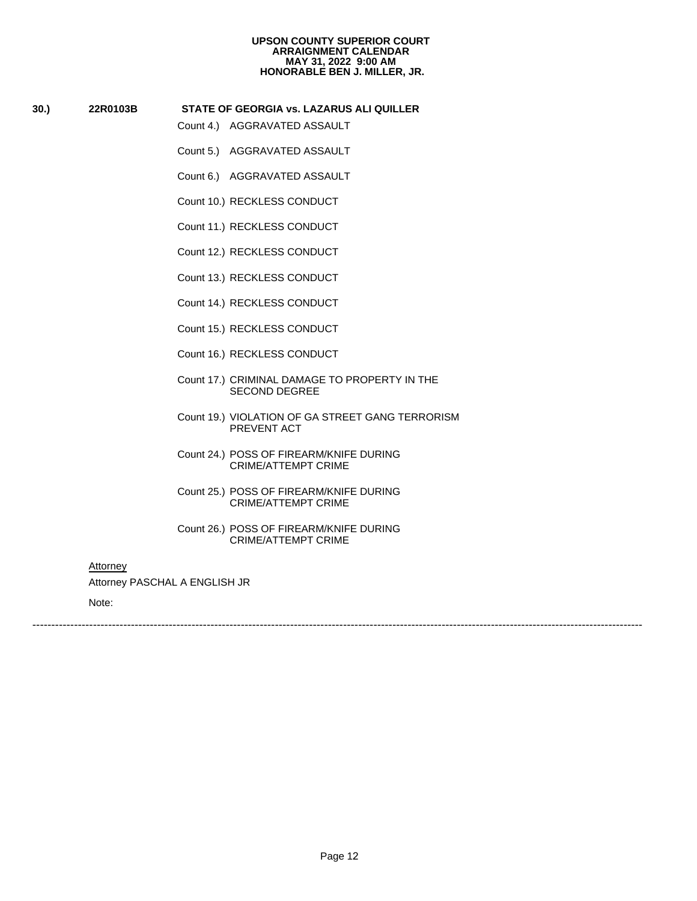# **30.) 22R0103B STATE OF GEORGIA vs. LAZARUS ALI QUILLER**

- 
- 
- **STATE OF GEORGIA vs. LAZARUS**<br>Count 4.) AGGRAVATED ASSAULT<br>Count 5.) AGGRAVATED ASSAULT<br>Count 6.) AGGRAVATED ASSAULT<br>Count 10.) RECKLESS CONDUCT<br>Count 11.) RECKLESS CONDUCT<br>Count 12.) RECKLESS CONDUCT SIATE OF GEORGIA VS. LAZARUS<br>Count 4.) AGGRAVATED ASSAULT<br>Count 5.) AGGRAVATED ASSAULT<br>Count 10.) RECKLESS CONDUCT<br>Count 11.) RECKLESS CONDUCT<br>Count 12.) RECKLESS CONDUCT<br>Count 13.) RECKLESS CONDUCT<br>Count 13.) RECKLESS CON Count 5.) AGGRAVATED ASSAULT<br>Count 6.) AGGRAVATED ASSAULT<br>Count 10.) RECKLESS CONDUCT<br>Count 11.) RECKLESS CONDUCT<br>Count 12.) RECKLESS CONDUCT<br>Count 13.) RECKLESS CONDUCT<br>Count 14.) RECKLESS CONDUCT
- 
- 
- Count 6.) AGGRAVATED ASSAU<br>Count 10.) RECKLESS CONDUCT<br>Count 11.) RECKLESS CONDUCT<br>Count 12.) RECKLESS CONDUCT<br>Count 13.) RECKLESS CONDUCT<br>Count 15.) RECKLESS CONDUCT<br>Count 15.) RECKLESS CONDUCT
- 
- 
- 
- 
- Count 10.) RECKLESS CONDUCT<br>Count 11.) RECKLESS CONDUCT<br>Count 12.) RECKLESS CONDUCT<br>Count 13.) RECKLESS CONDUCT<br>Count 14.) RECKLESS CONDUCT<br>Count 15.) RECKLESS CONDUCT<br>Count 16.) RECKLESS CONDUCT<br>Count 17.) CRIMINAL DAMAGE Count 11.) RECKLESS CONDUCT<br>Count 12.) RECKLESS CONDUCT<br>Count 13.) RECKLESS CONDUCT<br>Count 14.) RECKLESS CONDUCT<br>Count 15.) RECKLESS CONDUCT<br>Count 16.) RECKLESS CONDUCT<br>Count 17.) CRIMINAL DAMAGE TO<br>SECOND DEGREE Count 12.) RECKLESS CONDUCT<br>Count 13.) RECKLESS CONDUCT<br>Count 14.) RECKLESS CONDUCT<br>Count 15.) RECKLESS CONDUCT<br>Count 16.) RECKLESS CONDUCT<br>Count 17.) CRIMINAL DAMAGE TO<br>SECOND DEGREE<br>Count 19.) VIOLATION OF GA STF<br>PREVENT Count 13.) RECKLESS CONDUCT<br>Count 14.) RECKLESS CONDUCT<br>Count 15.) RECKLESS CONDUCT<br>Count 16.) RECKLESS CONDUCT<br>Count 17.) CRIMINAL DAMAGE TO<br>SECOND DEGREE<br>Count 19.) VIOLATION OF GA STF<br>PREVENT ACT<br>Count 24.) POSS OF FIRE Count 14.) RECKLESS CONDUCT<br>Count 15.) RECKLESS CONDUCT<br>Count 16.) RECKLESS CONDUCT<br>Count 17.) CRIMINAL DAMAGE TO<br>SECOND DEGREE<br>Count 19.) VIOLATION OF GA STF<br>PREVENT ACT<br>Count 24.) POSS OF FIREARM/KN<br>CRIME/ATTEMPT CRIN Count 15.) RECKLESS CONDUCT<br>Count 16.) RECKLESS CONDUCT<br>Count 17.) CRIMINAL DAMAGE TO<br>SECOND DEGREE<br>Count 19.) VIOLATION OF GA STIF<br>PREVENT ACT<br>Count 24.) POSS OF FIREARM/KN<br>CRIME/ATTEMPT CRIN<br>Count 25.) POSS OF FIREARM/KN Count 16.) RECKLESS CONDUCT<br>
Count 17.) CRIMINAL DAMAGE TO PROPERTY IN THE<br>
SECOND DEGREE<br>
Count 19.) VIOLATION OF GA STREET GANG TERROF<br>
PREVENT ACT<br>
Count 24.) POSS OF FIREARM/KNIFE DURING<br>
CRIME/ATTEMPT CRIME<br>
Count 25. SECOND DEGREE
- Count 17.) CRIMINAL DAMAGE TO PROPERTY IN THE<br>SECOND DEGREE<br>Count 19.) VIOLATION OF GA STREET GANG TERRORISM<br>PREVENT ACT<br>Count 24.) POSS OF FIREARM/KNIFE DURING<br>CRIME/ATTEMPT CRIME<br>Count 26.) POSS OF FIREARM/KNIFE DURING<br>C PREVENT ACT
- CRIME/ATTEMPT CRIME
- Count 19.) VIOLATION OF GA STREET GANG<br>
PREVENT ACT<br>
Count 24.) POSS OF FIREARM/KNIFE DURING<br>
CRIME/ATTEMPT CRIME<br>
Count 25.) POSS OF FIREARM/KNIFE DURING<br>
CRIME/ATTEMPT CRIME<br>
Count 26.) POSS OF FIREARM/KNIFE DURING<br>
CRIM Count 24.) POSS OF FIREARM/KNIFE DURING<br>CRIME/ATTEMPT CRIME<br>Count 25.) POSS OF FIREARM/KNIFE DURING<br>CRIME/ATTEMPT CRIME<br>Count 26.) POSS OF FIREARM/KNIFE DURING<br>CRIME/ATTEMPT CRIME<br>A ENGLISH JR<br>CRIME/ATTEMPT CRIME CRIME/ATTEMPT CRIME
- Count 25.) POSS OF FIREARM/KNIFE DURING<br>CRIME/ATTEMPT CRIME<br>Count 26.) POSS OF FIREARM/KNIFE DURING<br>CRIME/ATTEMPT CRIME<br>A ENGLISH JR<br>CRIME/ATTEMPT CRIME CRIME/ATTEMPT CRIME

### **Attorney**

Attorney PASCHAL A ENGLISH JR

Note: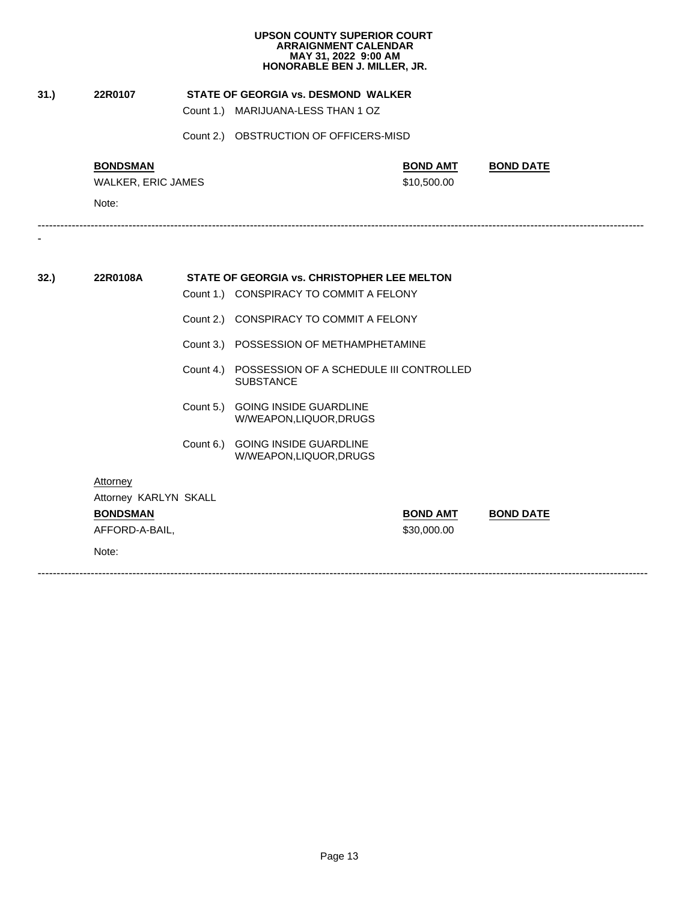| 31.) | 22R0107                           | <b>STATE OF GEORGIA vs. DESMOND WALKER</b>                            |                 |                  |
|------|-----------------------------------|-----------------------------------------------------------------------|-----------------|------------------|
|      |                                   | Count 1.) MARIJUANA-LESS THAN 1 OZ                                    |                 |                  |
|      |                                   | Count 2.) OBSTRUCTION OF OFFICERS-MISD                                |                 |                  |
|      | <b>BONDSMAN</b>                   |                                                                       | <b>BOND AMT</b> | <b>BOND DATE</b> |
|      | WALKER, ERIC JAMES                |                                                                       | \$10,500.00     |                  |
|      | Note:                             |                                                                       |                 |                  |
|      |                                   |                                                                       |                 |                  |
| 32.  | 22R0108A                          | STATE OF GEORGIA vs. CHRISTOPHER LEE MELTON                           |                 |                  |
|      |                                   | Count 1.) CONSPIRACY TO COMMIT A FELONY                               |                 |                  |
|      |                                   | Count 2.) CONSPIRACY TO COMMIT A FELONY                               |                 |                  |
|      |                                   | Count 3.) POSSESSION OF METHAMPHETAMINE                               |                 |                  |
|      |                                   | Count 4.) POSSESSION OF A SCHEDULE III CONTROLLED<br><b>SUBSTANCE</b> |                 |                  |
|      |                                   | Count 5.) GOING INSIDE GUARDLINE<br>W/WEAPON,LIQUOR,DRUGS             |                 |                  |
|      |                                   | Count 6.) GOING INSIDE GUARDLINE<br>W/WEAPON,LIQUOR,DRUGS             |                 |                  |
|      | Attorney<br>Attorney KARLYN SKALL |                                                                       |                 |                  |
|      | <b>BONDSMAN</b>                   |                                                                       | <b>BOND AMT</b> | <b>BOND DATE</b> |
|      | AFFORD-A-BAIL,                    |                                                                       | \$30,000.00     |                  |
|      | Note:                             |                                                                       |                 |                  |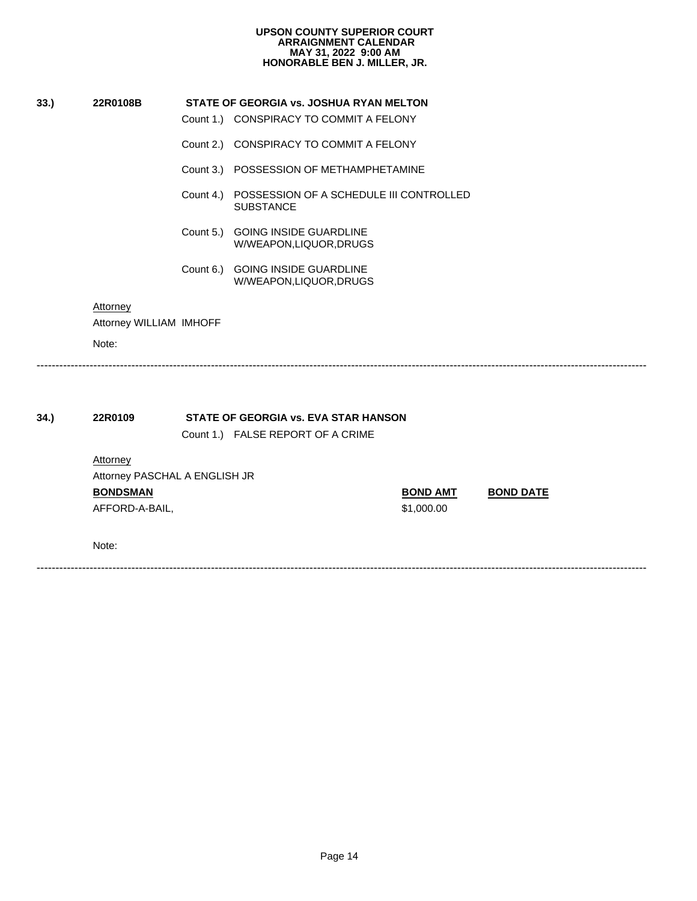| UPSON COUNTY SUPERIOR COURT  |
|------------------------------|
| <b>ARRAIGNMENT CALENDAR</b>  |
| MAY 31, 2022 9:00 AM         |
| HONORABLE BEN J. MILLER, JR. |

|      |                               |           | HONORABLE BEN J. MILLER, JR.                                |                 |                  |
|------|-------------------------------|-----------|-------------------------------------------------------------|-----------------|------------------|
| 33.) | 22R0108B                      |           | STATE OF GEORGIA vs. JOSHUA RYAN MELTON                     |                 |                  |
|      |                               |           | Count 1.) CONSPIRACY TO COMMIT A FELONY                     |                 |                  |
|      |                               | Count 2.) | CONSPIRACY TO COMMIT A FELONY                               |                 |                  |
|      |                               |           | Count 3.) POSSESSION OF METHAMPHETAMINE                     |                 |                  |
|      |                               | Count 4.) | POSSESSION OF A SCHEDULE III CONTROLLED<br><b>SUBSTANCE</b> |                 |                  |
|      |                               | Count 5.) | <b>GOING INSIDE GUARDLINE</b><br>W/WEAPON,LIQUOR,DRUGS      |                 |                  |
|      |                               | Count 6.) | <b>GOING INSIDE GUARDLINE</b><br>W/WEAPON,LIQUOR,DRUGS      |                 |                  |
|      | Attorney                      |           |                                                             |                 |                  |
|      | Attorney WILLIAM IMHOFF       |           |                                                             |                 |                  |
|      | Note:                         |           |                                                             |                 |                  |
|      |                               |           |                                                             |                 |                  |
| 34.  | 22R0109                       |           | STATE OF GEORGIA vs. EVA STAR HANSON                        |                 |                  |
|      |                               |           | Count 1.) FALSE REPORT OF A CRIME                           |                 |                  |
|      | Attorney                      |           |                                                             |                 |                  |
|      | Attorney PASCHAL A ENGLISH JR |           |                                                             |                 |                  |
|      |                               |           |                                                             | <b>BOND AMT</b> | <b>BOND DATE</b> |
|      | <b>BONDSMAN</b>               |           |                                                             |                 |                  |
|      | AFFORD-A-BAIL,                |           |                                                             | \$1,000.00      |                  |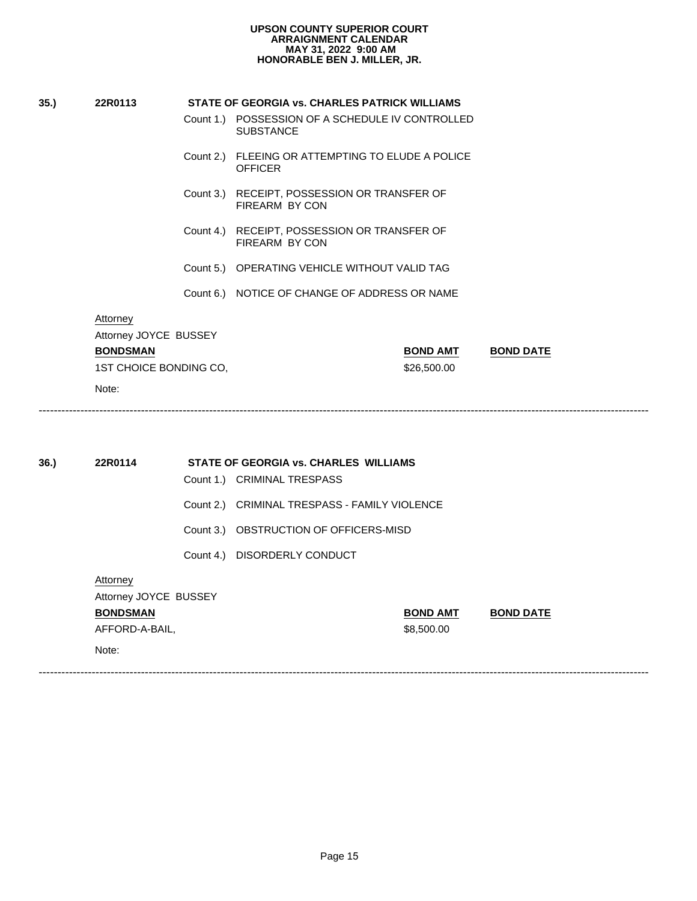| 35. | 22R0113                | STATE OF GEORGIA vs. CHARLES PATRICK WILLIAMS                         |                  |  |  |
|-----|------------------------|-----------------------------------------------------------------------|------------------|--|--|
|     |                        | Count 1.) POSSESSION OF A SCHEDULE IV CONTROLLED<br><b>SUBSTANCE</b>  |                  |  |  |
|     |                        | Count 2.) FLEEING OR ATTEMPTING TO ELUDE A POLICE<br><b>OFFICER</b>   |                  |  |  |
|     |                        | Count 3.) RECEIPT, POSSESSION OR TRANSFER OF<br>FIREARM BY CON        |                  |  |  |
|     |                        | Count 4.) RECEIPT, POSSESSION OR TRANSFER OF<br><b>FIREARM BY CON</b> |                  |  |  |
|     |                        | Count 5.) OPERATING VEHICLE WITHOUT VALID TAG                         |                  |  |  |
|     |                        | Count 6.) NOTICE OF CHANGE OF ADDRESS OR NAME                         |                  |  |  |
|     | Attorney               |                                                                       |                  |  |  |
|     | Attorney JOYCE BUSSEY  |                                                                       |                  |  |  |
|     | <b>BONDSMAN</b>        | <b>BOND AMT</b>                                                       | <b>BOND DATE</b> |  |  |
|     | 1ST CHOICE BONDING CO, | \$26,500.00                                                           |                  |  |  |
|     | Note:                  |                                                                       |                  |  |  |
|     |                        |                                                                       |                  |  |  |

| 36. | 22R0114               |                | STATE OF GEORGIA vs. CHARLES WILLIAMS<br>Count 1.) CRIMINAL TRESPASS |                 |                  |
|-----|-----------------------|----------------|----------------------------------------------------------------------|-----------------|------------------|
|     |                       |                |                                                                      |                 |                  |
|     |                       |                | Count 2.) CRIMINAL TRESPASS - FAMILY VIOLENCE                        |                 |                  |
|     |                       |                | Count 3.) OBSTRUCTION OF OFFICERS-MISD                               |                 |                  |
|     |                       |                | Count 4.) DISORDERLY CONDUCT                                         |                 |                  |
|     | Attorney              |                |                                                                      |                 |                  |
|     | Attorney JOYCE BUSSEY |                |                                                                      |                 |                  |
|     | <b>BONDSMAN</b>       |                |                                                                      | <b>BOND AMT</b> | <b>BOND DATE</b> |
|     |                       | AFFORD-A-BAIL, |                                                                      |                 |                  |
|     | Note:                 |                |                                                                      |                 |                  |
|     |                       |                |                                                                      |                 |                  |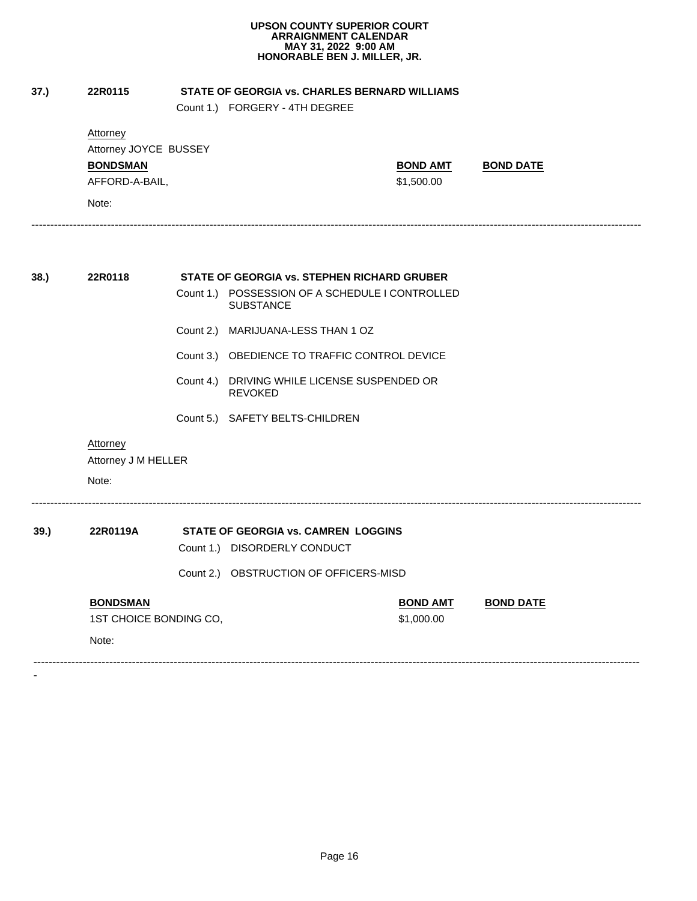| 37.) | 22R0115                                                                         |           | STATE OF GEORGIA vs. CHARLES BERNARD WILLIAMS<br>Count 1.) FORGERY - 4TH DEGREE |                               |                  |
|------|---------------------------------------------------------------------------------|-----------|---------------------------------------------------------------------------------|-------------------------------|------------------|
|      | Attorney<br>Attorney JOYCE BUSSEY<br><b>BONDSMAN</b><br>AFFORD-A-BAIL,<br>Note: |           |                                                                                 | <b>BOND AMT</b><br>\$1,500.00 | <b>BOND DATE</b> |
|      | 22R0118                                                                         |           | STATE OF GEORGIA vs. STEPHEN RICHARD GRUBER                                     |                               |                  |
| 38.  |                                                                                 |           | Count 1.) POSSESSION OF A SCHEDULE I CONTROLLED                                 |                               |                  |
|      |                                                                                 |           | <b>SUBSTANCE</b>                                                                |                               |                  |
|      |                                                                                 |           | Count 2.) MARIJUANA-LESS THAN 1 OZ                                              |                               |                  |
|      |                                                                                 |           | Count 3.) OBEDIENCE TO TRAFFIC CONTROL DEVICE                                   |                               |                  |
|      |                                                                                 | Count 4.) | DRIVING WHILE LICENSE SUSPENDED OR                                              |                               |                  |
|      |                                                                                 |           | <b>REVOKED</b>                                                                  |                               |                  |
|      |                                                                                 |           | Count 5.) SAFETY BELTS-CHILDREN                                                 |                               |                  |
|      | Attorney<br>Attorney J M HELLER                                                 |           |                                                                                 |                               |                  |
|      | Note:                                                                           |           |                                                                                 |                               |                  |
| 39.) | 22R0119A                                                                        |           | STATE OF GEORGIA vs. CAMREN LOGGINS                                             |                               |                  |
|      |                                                                                 |           | Count 1.) DISORDERLY CONDUCT                                                    |                               |                  |
|      |                                                                                 |           | Count 2.) OBSTRUCTION OF OFFICERS-MISD                                          |                               |                  |
|      | <b>BONDSMAN</b>                                                                 |           |                                                                                 | <b>BOND AMT</b>               | <b>BOND DATE</b> |
|      | 1ST CHOICE BONDING CO,                                                          |           |                                                                                 | \$1,000.00                    |                  |
|      |                                                                                 |           |                                                                                 |                               |                  |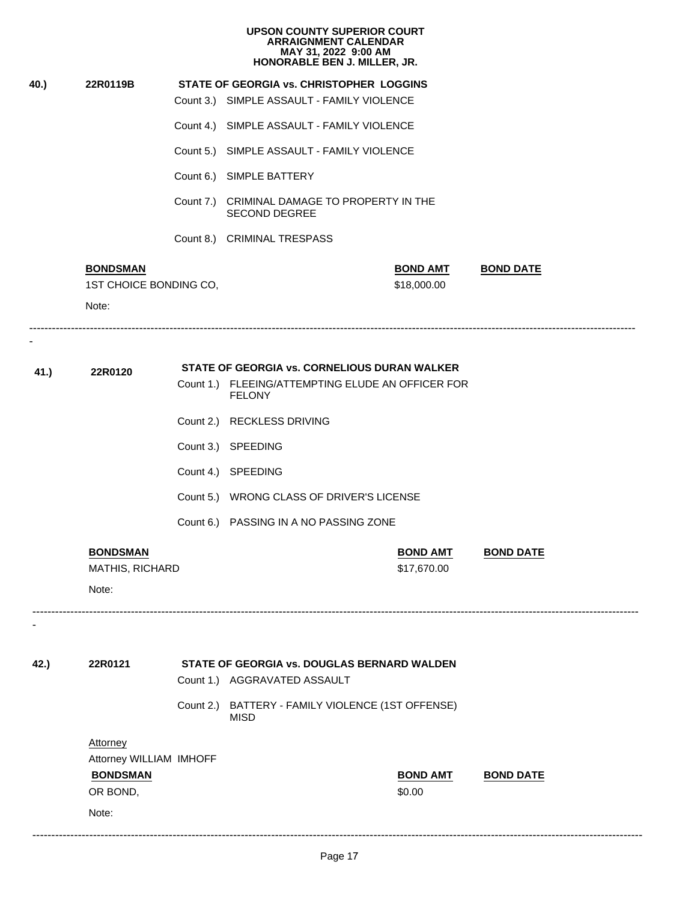|      |                         |           | <b>UPSON COUNTY SUPERIOR COURT</b><br><b>ARRAIGNMENT CALENDAR</b><br>MAY 31, 2022 9:00 AM<br>HONORABLE BEN J. MILLER, JR. |                  |
|------|-------------------------|-----------|---------------------------------------------------------------------------------------------------------------------------|------------------|
| 40.) | 22R0119B                |           | <b>STATE OF GEORGIA vs. CHRISTOPHER LOGGINS</b>                                                                           |                  |
|      |                         |           | Count 3.) SIMPLE ASSAULT - FAMILY VIOLENCE                                                                                |                  |
|      |                         |           | Count 4.) SIMPLE ASSAULT - FAMILY VIOLENCE                                                                                |                  |
|      |                         |           | Count 5.) SIMPLE ASSAULT - FAMILY VIOLENCE                                                                                |                  |
|      |                         |           | Count 6.) SIMPLE BATTERY                                                                                                  |                  |
|      |                         | Count 7.) | CRIMINAL DAMAGE TO PROPERTY IN THE<br><b>SECOND DEGREE</b>                                                                |                  |
|      |                         |           | Count 8.) CRIMINAL TRESPASS                                                                                               |                  |
|      | <b>BONDSMAN</b>         |           | <b>BOND AMT</b>                                                                                                           | <b>BOND DATE</b> |
|      | 1ST CHOICE BONDING CO,  |           | \$18,000.00                                                                                                               |                  |
|      | Note:                   |           |                                                                                                                           |                  |
|      |                         |           | STATE OF GEORGIA vs. CORNELIOUS DURAN WALKER                                                                              |                  |
| 41.) | 22R0120                 |           | Count 1.) FLEEING/ATTEMPTING ELUDE AN OFFICER FOR<br><b>FELONY</b>                                                        |                  |
|      |                         |           | Count 2.) RECKLESS DRIVING                                                                                                |                  |
|      |                         |           | Count 3.) SPEEDING                                                                                                        |                  |
|      |                         |           | Count 4.) SPEEDING                                                                                                        |                  |
|      |                         |           | Count 5.) WRONG CLASS OF DRIVER'S LICENSE                                                                                 |                  |
|      |                         |           | Count 6.) PASSING IN A NO PASSING ZONE                                                                                    |                  |
|      |                         |           | <b>BOND AMT</b>                                                                                                           | <b>BOND DATE</b> |
|      | <b>BONDSMAN</b>         |           |                                                                                                                           |                  |
|      | MATHIS, RICHARD         |           | \$17,670.00                                                                                                               |                  |
|      | Note:                   |           |                                                                                                                           |                  |
|      |                         |           |                                                                                                                           |                  |
| 42.) | 22R0121                 |           | <b>STATE OF GEORGIA vs. DOUGLAS BERNARD WALDEN</b><br>Count 1.) AGGRAVATED ASSAULT                                        |                  |
|      |                         |           | Count 2.) BATTERY - FAMILY VIOLENCE (1ST OFFENSE)<br>MISD                                                                 |                  |
|      | <b>Attorney</b>         |           |                                                                                                                           |                  |
|      | Attorney WILLIAM IMHOFF |           |                                                                                                                           |                  |
|      | <b>BONDSMAN</b>         |           | <b>BOND AMT</b>                                                                                                           | <b>BOND DATE</b> |
|      | OR BOND,                |           | \$0.00                                                                                                                    |                  |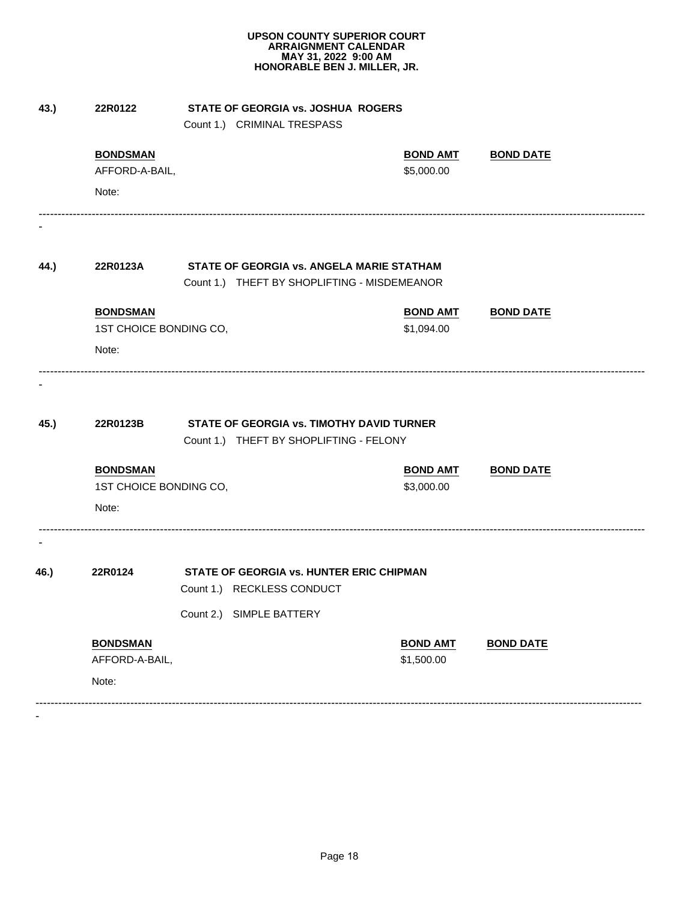| 43.) | 22R0122                                                        | STATE OF GEORGIA vs. JOSHUA ROGERS<br>Count 1.) CRIMINAL TRESPASS                    |                               |                  |
|------|----------------------------------------------------------------|--------------------------------------------------------------------------------------|-------------------------------|------------------|
|      | <b>BONDSMAN</b><br>AFFORD-A-BAIL,                              |                                                                                      | <b>BOND AMT</b><br>\$5,000.00 | <b>BOND DATE</b> |
|      | Note:                                                          |                                                                                      |                               |                  |
|      |                                                                |                                                                                      |                               |                  |
| 44.) | 22R0123A                                                       | STATE OF GEORGIA vs. ANGELA MARIE STATHAM                                            |                               |                  |
|      |                                                                | Count 1.) THEFT BY SHOPLIFTING - MISDEMEANOR                                         |                               |                  |
|      | <b>BONDSMAN</b>                                                |                                                                                      | <b>BOND AMT</b>               | <b>BOND DATE</b> |
|      | 1ST CHOICE BONDING CO,<br>Note:                                |                                                                                      | \$1,094.00                    |                  |
| 45.) | 22R0123B<br><b>BONDSMAN</b><br>1ST CHOICE BONDING CO,<br>Note: | STATE OF GEORGIA vs. TIMOTHY DAVID TURNER<br>Count 1.) THEFT BY SHOPLIFTING - FELONY | <b>BOND AMT</b><br>\$3,000.00 | <b>BOND DATE</b> |
|      |                                                                |                                                                                      |                               |                  |
| 46.) | 22R0124                                                        | STATE OF GEORGIA vs. HUNTER ERIC CHIPMAN                                             |                               |                  |
|      |                                                                | Count 1.) RECKLESS CONDUCT<br>Count 2.) SIMPLE BATTERY                               |                               |                  |
|      |                                                                |                                                                                      |                               |                  |
|      | <b>BONDSMAN</b><br>AFFORD-A-BAIL,                              |                                                                                      | <b>BOND AMT</b><br>\$1,500.00 | <b>BOND DATE</b> |
|      | Note:                                                          |                                                                                      |                               |                  |
|      |                                                                |                                                                                      |                               |                  |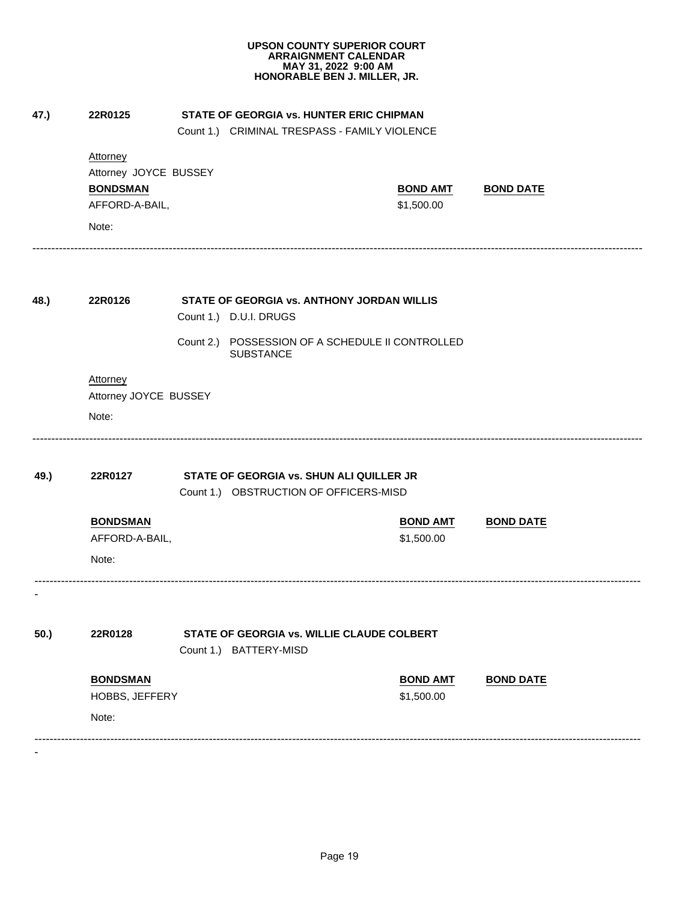|                          | <b>Attorney</b><br>Attorney JOYCE BUSSEY<br><b>BONDSMAN</b><br>AFFORD-A-BAIL, |                                        |                        | Count 1.) CRIMINAL TRESPASS - FAMILY VIOLENCE |                 |                  |  |
|--------------------------|-------------------------------------------------------------------------------|----------------------------------------|------------------------|-----------------------------------------------|-----------------|------------------|--|
|                          |                                                                               |                                        |                        |                                               |                 |                  |  |
|                          |                                                                               |                                        |                        |                                               |                 |                  |  |
|                          |                                                                               |                                        |                        |                                               | <b>BOND AMT</b> | <b>BOND DATE</b> |  |
|                          |                                                                               |                                        |                        |                                               | \$1,500.00      |                  |  |
|                          | Note:                                                                         |                                        |                        |                                               |                 |                  |  |
| 48.)                     | 22R0126                                                                       |                                        |                        | STATE OF GEORGIA vs. ANTHONY JORDAN WILLIS    |                 |                  |  |
|                          |                                                                               |                                        | Count 1.) D.U.I. DRUGS |                                               |                 |                  |  |
|                          |                                                                               | Count 2.)                              | <b>SUBSTANCE</b>       | POSSESSION OF A SCHEDULE II CONTROLLED        |                 |                  |  |
|                          | Attorney                                                                      |                                        |                        |                                               |                 |                  |  |
|                          | Attorney JOYCE BUSSEY                                                         |                                        |                        |                                               |                 |                  |  |
|                          | Note:                                                                         |                                        |                        |                                               |                 |                  |  |
| 49.)                     | STATE OF GEORGIA vs. SHUN ALI QUILLER JR<br>22R0127                           |                                        |                        |                                               |                 |                  |  |
|                          |                                                                               | Count 1.) OBSTRUCTION OF OFFICERS-MISD |                        |                                               |                 |                  |  |
|                          | <b>BONDSMAN</b>                                                               |                                        |                        |                                               | <b>BOND AMT</b> | <b>BOND DATE</b> |  |
|                          | AFFORD-A-BAIL,                                                                |                                        |                        |                                               | \$1,500.00      |                  |  |
|                          | Note:                                                                         |                                        |                        |                                               |                 |                  |  |
| $\overline{\phantom{a}}$ |                                                                               |                                        |                        |                                               |                 |                  |  |
| 50.)                     | 22R0128                                                                       |                                        | Count 1.) BATTERY-MISD | STATE OF GEORGIA vs. WILLIE CLAUDE COLBERT    |                 |                  |  |
|                          | <b>BONDSMAN</b>                                                               |                                        |                        |                                               | <b>BOND AMT</b> | <b>BOND DATE</b> |  |
|                          | HOBBS, JEFFERY                                                                |                                        |                        |                                               | \$1,500.00      |                  |  |
|                          | Note:                                                                         |                                        |                        |                                               |                 |                  |  |
|                          |                                                                               |                                        |                        |                                               |                 |                  |  |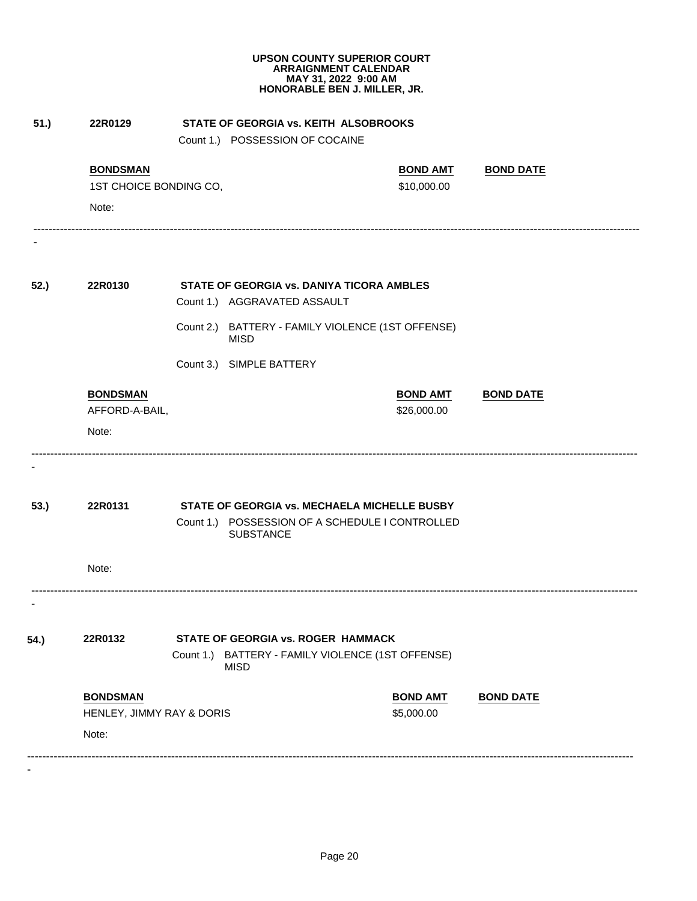|      |                                                                                     |  |                                                          | HONORABLE BEN J. MILLER, JR.                      |                  |  |  |
|------|-------------------------------------------------------------------------------------|--|----------------------------------------------------------|---------------------------------------------------|------------------|--|--|
| 51.) | 22R0129<br>STATE OF GEORGIA vs. KEITH ALSOBROOKS<br>Count 1.) POSSESSION OF COCAINE |  |                                                          |                                                   |                  |  |  |
|      | <b>BONDSMAN</b>                                                                     |  |                                                          | <b>BOND AMT</b>                                   | <b>BOND DATE</b> |  |  |
|      | 1ST CHOICE BONDING CO,                                                              |  |                                                          | \$10,000.00                                       |                  |  |  |
|      | Note:                                                                               |  |                                                          |                                                   |                  |  |  |
| 52.) | 22R0130                                                                             |  | STATE OF GEORGIA vs. DANIYA TICORA AMBLES                |                                                   |                  |  |  |
|      |                                                                                     |  | Count 1.) AGGRAVATED ASSAULT                             |                                                   |                  |  |  |
|      |                                                                                     |  | <b>MISD</b>                                              | Count 2.) BATTERY - FAMILY VIOLENCE (1ST OFFENSE) |                  |  |  |
|      |                                                                                     |  | Count 3.) SIMPLE BATTERY                                 |                                                   |                  |  |  |
|      | <b>BONDSMAN</b>                                                                     |  |                                                          | <b>BOND AMT</b>                                   | <b>BOND DATE</b> |  |  |
|      | AFFORD-A-BAIL,                                                                      |  |                                                          | \$26,000.00                                       |                  |  |  |
|      | Note:                                                                               |  |                                                          |                                                   |                  |  |  |
|      |                                                                                     |  |                                                          |                                                   |                  |  |  |
| 53.) | 22R0131                                                                             |  |                                                          | STATE OF GEORGIA vs. MECHAELA MICHELLE BUSBY      |                  |  |  |
|      |                                                                                     |  | <b>SUBSTANCE</b>                                         | Count 1.) POSSESSION OF A SCHEDULE I CONTROLLED   |                  |  |  |
|      | Note:                                                                               |  |                                                          |                                                   |                  |  |  |
| ٠    |                                                                                     |  |                                                          |                                                   |                  |  |  |
| 54.) | 22R0132                                                                             |  | <b>STATE OF GEORGIA vs. ROGER HAMMACK</b><br><b>MISD</b> | Count 1.) BATTERY - FAMILY VIOLENCE (1ST OFFENSE) |                  |  |  |
|      | <b>BONDSMAN</b>                                                                     |  |                                                          | <b>BOND AMT</b>                                   | <b>BOND DATE</b> |  |  |
|      | HENLEY, JIMMY RAY & DORIS                                                           |  |                                                          | \$5,000.00                                        |                  |  |  |
|      | Note:                                                                               |  |                                                          |                                                   |                  |  |  |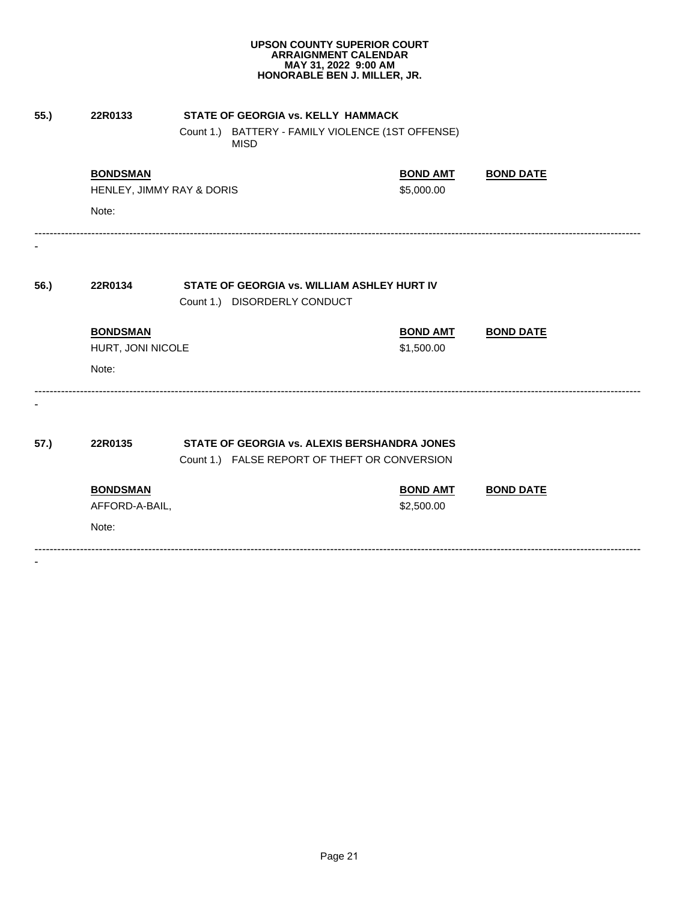| 55.) | 22R0133                   | STATE OF GEORGIA vs. KELLY HAMMACK                               |                 |                  |  |
|------|---------------------------|------------------------------------------------------------------|-----------------|------------------|--|
|      |                           | Count 1.) BATTERY - FAMILY VIOLENCE (1ST OFFENSE)<br><b>MISD</b> |                 |                  |  |
|      | <b>BONDSMAN</b>           |                                                                  | <b>BOND AMT</b> | <b>BOND DATE</b> |  |
|      | HENLEY, JIMMY RAY & DORIS |                                                                  | \$5,000.00      |                  |  |
|      | Note:                     |                                                                  |                 |                  |  |
|      |                           |                                                                  |                 |                  |  |
| 56.) | 22R0134                   | STATE OF GEORGIA vs. WILLIAM ASHLEY HURT IV                      |                 |                  |  |
|      |                           | Count 1.) DISORDERLY CONDUCT                                     |                 |                  |  |
|      | <b>BONDSMAN</b>           |                                                                  | <b>BOND AMT</b> | <b>BOND DATE</b> |  |
|      | HURT, JONI NICOLE         |                                                                  | \$1,500.00      |                  |  |
|      | Note:                     |                                                                  |                 |                  |  |
|      |                           |                                                                  |                 |                  |  |
| 57.) | 22R0135                   | STATE OF GEORGIA vs. ALEXIS BERSHANDRA JONES                     |                 |                  |  |
|      |                           | Count 1.) FALSE REPORT OF THEFT OR CONVERSION                    |                 |                  |  |
|      | <b>BONDSMAN</b>           |                                                                  | <b>BOND AMT</b> | <b>BOND DATE</b> |  |
|      | AFFORD-A-BAIL,            |                                                                  | \$2,500.00      |                  |  |
|      | Note:                     |                                                                  |                 |                  |  |
|      |                           |                                                                  |                 |                  |  |
|      |                           |                                                                  |                 |                  |  |
|      |                           |                                                                  |                 |                  |  |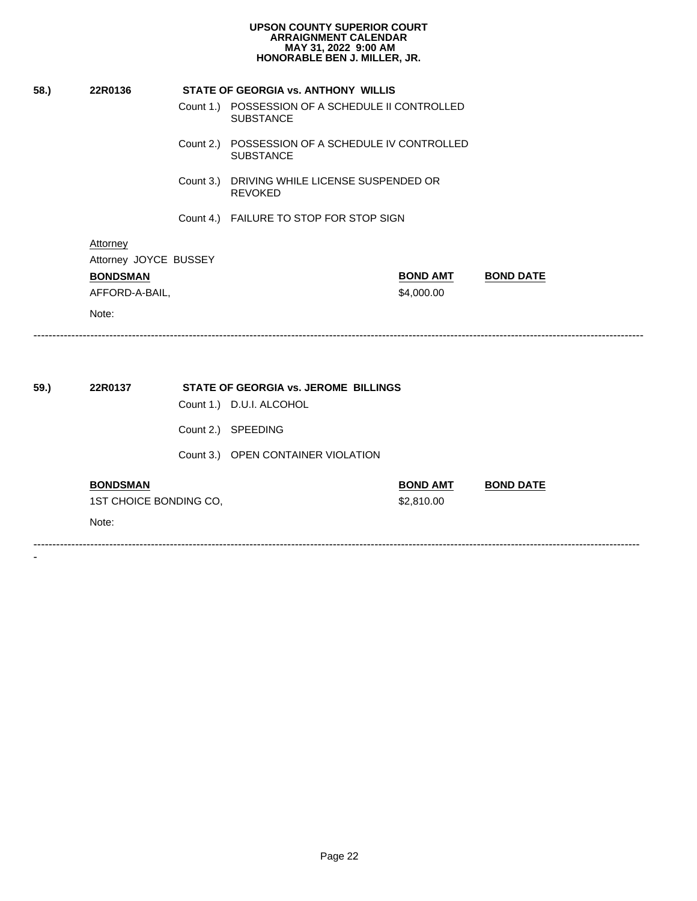|      | 22R0136                                                                         | <b>STATE OF GEORGIA vs. ANTHONY WILLIS</b>                           |                               |                  |
|------|---------------------------------------------------------------------------------|----------------------------------------------------------------------|-------------------------------|------------------|
|      |                                                                                 | Count 1.) POSSESSION OF A SCHEDULE II CONTROLLED<br><b>SUBSTANCE</b> |                               |                  |
|      |                                                                                 | Count 2.) POSSESSION OF A SCHEDULE IV CONTROLLED<br><b>SUBSTANCE</b> |                               |                  |
|      |                                                                                 | Count 3.) DRIVING WHILE LICENSE SUSPENDED OR<br><b>REVOKED</b>       |                               |                  |
|      |                                                                                 | Count 4.) FAILURE TO STOP FOR STOP SIGN                              |                               |                  |
|      | Attorney<br>Attorney JOYCE BUSSEY<br><b>BONDSMAN</b><br>AFFORD-A-BAIL,<br>Note: |                                                                      | <b>BOND AMT</b><br>\$4,000.00 | <b>BOND DATE</b> |
| 59.) | 22R0137                                                                         | <b>STATE OF GEORGIA vs. JEROME BILLINGS</b>                          |                               |                  |
|      |                                                                                 | Count 1.) D.U.I. ALCOHOL                                             |                               |                  |
|      |                                                                                 | Count 2.) SPEEDING                                                   |                               |                  |
|      |                                                                                 | Count 3.) OPEN CONTAINER VIOLATION                                   |                               |                  |
|      | <b>BONDSMAN</b>                                                                 |                                                                      | <b>BOND AMT</b>               | <b>BOND DATE</b> |
|      | 1ST CHOICE BONDING CO,                                                          |                                                                      | \$2,810.00                    |                  |
|      | Note:                                                                           |                                                                      |                               |                  |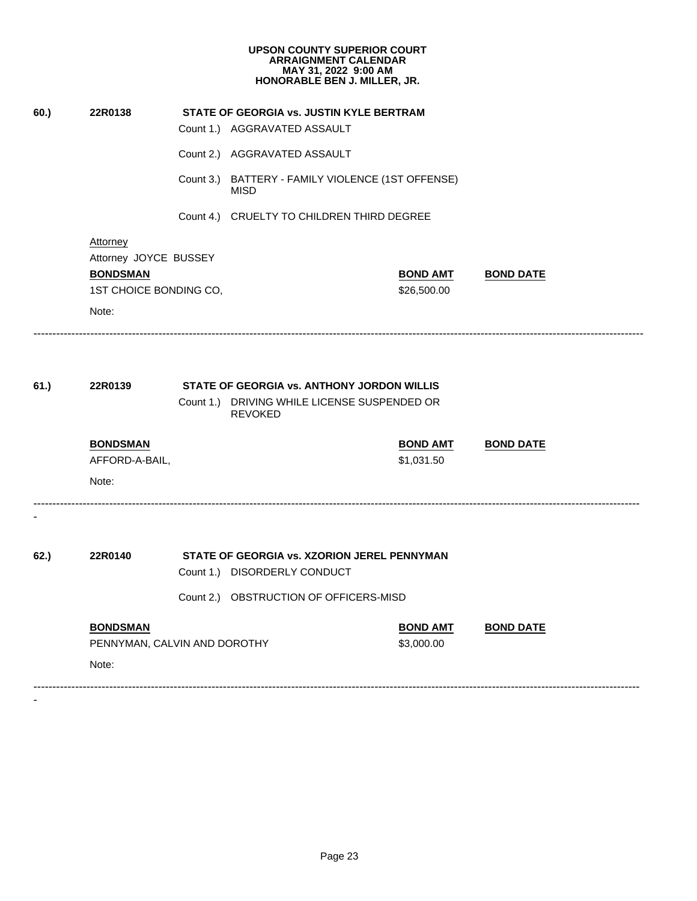| 60.) | 22R0138                      | STATE OF GEORGIA vs. JUSTIN KYLE BERTRAM                         |                  |
|------|------------------------------|------------------------------------------------------------------|------------------|
|      |                              | Count 1.) AGGRAVATED ASSAULT                                     |                  |
|      |                              | Count 2.) AGGRAVATED ASSAULT                                     |                  |
|      |                              | Count 3.) BATTERY - FAMILY VIOLENCE (1ST OFFENSE)<br><b>MISD</b> |                  |
|      |                              | Count 4.) CRUELTY TO CHILDREN THIRD DEGREE                       |                  |
|      | <b>Attorney</b>              |                                                                  |                  |
|      | Attorney JOYCE BUSSEY        |                                                                  |                  |
|      | <b>BONDSMAN</b>              | <b>BOND AMT</b>                                                  | <b>BOND DATE</b> |
|      | 1ST CHOICE BONDING CO,       | \$26,500.00                                                      |                  |
|      | Note:                        |                                                                  |                  |
|      |                              |                                                                  |                  |
| 61.) | 22R0139                      | <b>STATE OF GEORGIA vs. ANTHONY JORDON WILLIS</b>                |                  |
|      |                              | Count 1.) DRIVING WHILE LICENSE SUSPENDED OR<br><b>REVOKED</b>   |                  |
|      | <b>BONDSMAN</b>              | <b>BOND AMT</b>                                                  | <b>BOND DATE</b> |
|      | AFFORD-A-BAIL,               | \$1,031.50                                                       |                  |
|      | Note:                        |                                                                  |                  |
|      |                              |                                                                  |                  |
| 62.) | 22R0140                      | STATE OF GEORGIA vs. XZORION JEREL PENNYMAN                      |                  |
|      |                              | Count 1.) DISORDERLY CONDUCT                                     |                  |
|      |                              | Count 2.) OBSTRUCTION OF OFFICERS-MISD                           |                  |
|      | <b>BONDSMAN</b>              | <b>BOND AMT</b>                                                  | <b>BOND DATE</b> |
|      | PENNYMAN, CALVIN AND DOROTHY | \$3,000.00                                                       |                  |
|      | Note:                        |                                                                  |                  |
|      |                              |                                                                  |                  |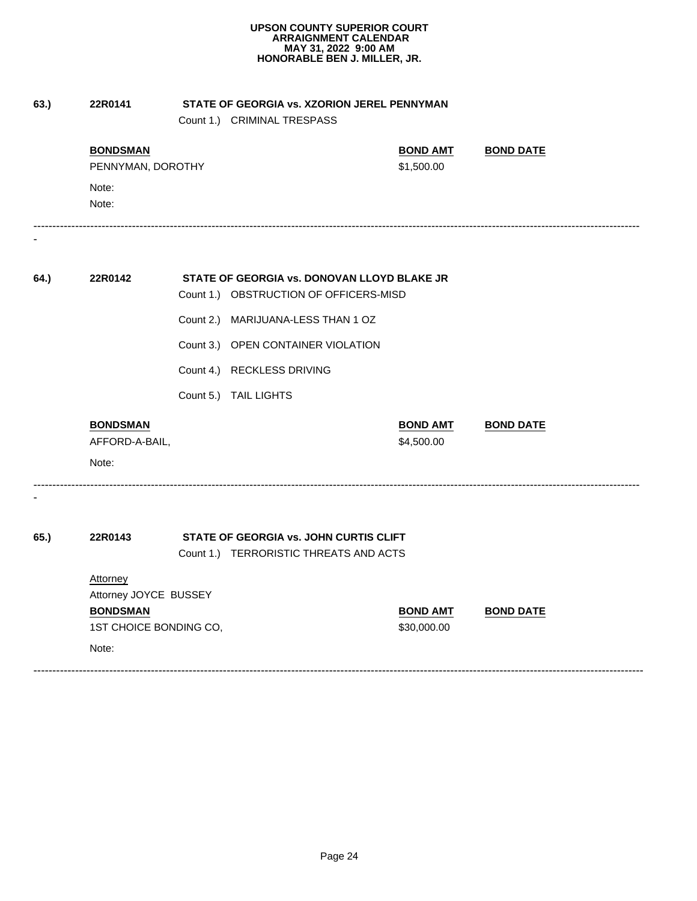|      |                        | Count 1.) CRIMINAL TRESPASS                 |                 |                  |
|------|------------------------|---------------------------------------------|-----------------|------------------|
|      | <b>BONDSMAN</b>        |                                             | <b>BOND AMT</b> | <b>BOND DATE</b> |
|      | PENNYMAN, DOROTHY      |                                             | \$1,500.00      |                  |
|      | Note:                  |                                             |                 |                  |
|      | Note:                  |                                             |                 |                  |
|      | 22R0142                | STATE OF GEORGIA vs. DONOVAN LLOYD BLAKE JR |                 |                  |
| 64.) |                        | Count 1.) OBSTRUCTION OF OFFICERS-MISD      |                 |                  |
|      |                        | Count 2.) MARIJUANA-LESS THAN 1 OZ          |                 |                  |
|      |                        | Count 3.) OPEN CONTAINER VIOLATION          |                 |                  |
|      |                        | Count 4.) RECKLESS DRIVING                  |                 |                  |
|      |                        | Count 5.) TAIL LIGHTS                       |                 |                  |
|      | <b>BONDSMAN</b>        |                                             | <b>BOND AMT</b> | <b>BOND DATE</b> |
|      | AFFORD-A-BAIL,         |                                             | \$4,500.00      |                  |
|      | Note:                  |                                             |                 |                  |
| 65.) | 22R0143                | STATE OF GEORGIA vs. JOHN CURTIS CLIFT      |                 |                  |
|      |                        | Count 1.) TERRORISTIC THREATS AND ACTS      |                 |                  |
|      | Attorney               |                                             |                 |                  |
|      | Attorney JOYCE BUSSEY  |                                             |                 |                  |
|      | <b>BONDSMAN</b>        |                                             | <b>BOND AMT</b> | <b>BOND DATE</b> |
|      | 1ST CHOICE BONDING CO, |                                             | \$30,000.00     |                  |
|      | Note:                  |                                             |                 |                  |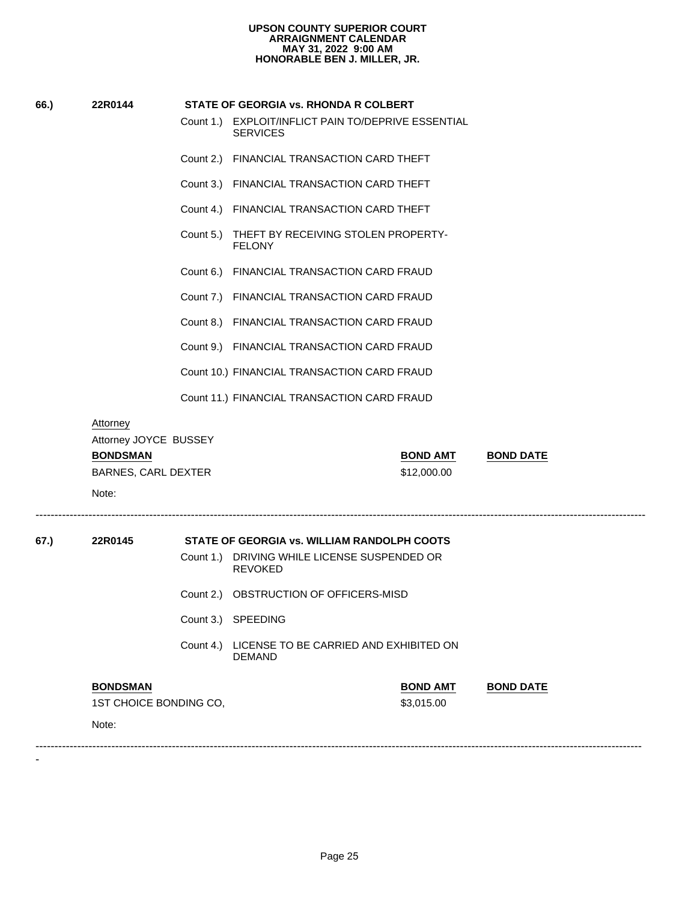| 66.) | 22R0144                                                                     |           | STATE OF GEORGIA vs. RHONDA R COLBERT                                  |                  |
|------|-----------------------------------------------------------------------------|-----------|------------------------------------------------------------------------|------------------|
|      |                                                                             |           | Count 1.) EXPLOIT/INFLICT PAIN TO/DEPRIVE ESSENTIAL<br><b>SERVICES</b> |                  |
|      |                                                                             |           | Count 2.) FINANCIAL TRANSACTION CARD THEFT                             |                  |
|      |                                                                             |           | Count 3.) FINANCIAL TRANSACTION CARD THEFT                             |                  |
|      |                                                                             |           | Count 4.) FINANCIAL TRANSACTION CARD THEFT                             |                  |
|      |                                                                             |           | Count 5.) THEFT BY RECEIVING STOLEN PROPERTY-<br><b>FELONY</b>         |                  |
|      |                                                                             | Count 6.) | FINANCIAL TRANSACTION CARD FRAUD                                       |                  |
|      |                                                                             |           | Count 7.) FINANCIAL TRANSACTION CARD FRAUD                             |                  |
|      |                                                                             |           | Count 8.) FINANCIAL TRANSACTION CARD FRAUD                             |                  |
|      |                                                                             |           | Count 9.) FINANCIAL TRANSACTION CARD FRAUD                             |                  |
|      |                                                                             |           | Count 10.) FINANCIAL TRANSACTION CARD FRAUD                            |                  |
|      |                                                                             |           | Count 11.) FINANCIAL TRANSACTION CARD FRAUD                            |                  |
|      | Attorney<br>Attorney JOYCE BUSSEY<br><b>BONDSMAN</b><br>BARNES, CARL DEXTER |           | <b>BOND AMT</b><br>\$12,000.00                                         | <b>BOND DATE</b> |
|      | Note:                                                                       |           |                                                                        |                  |
| 67.) | 22R0145                                                                     |           | STATE OF GEORGIA vs. WILLIAM RANDOLPH COOTS                            |                  |
|      |                                                                             | Count 1.) | DRIVING WHILE LICENSE SUSPENDED OR<br><b>REVOKED</b>                   |                  |
|      |                                                                             |           | Count 2.) OBSTRUCTION OF OFFICERS-MISD                                 |                  |
|      |                                                                             |           | Count 3.) SPEEDING                                                     |                  |
|      |                                                                             | Count 4.) | LICENSE TO BE CARRIED AND EXHIBITED ON<br><b>DEMAND</b>                |                  |
|      | <b>BONDSMAN</b>                                                             |           | <b>BOND AMT</b>                                                        | <b>BOND DATE</b> |
|      | 1ST CHOICE BONDING CO,                                                      |           | \$3,015.00                                                             |                  |
|      | Note:                                                                       |           |                                                                        |                  |
|      |                                                                             |           |                                                                        |                  |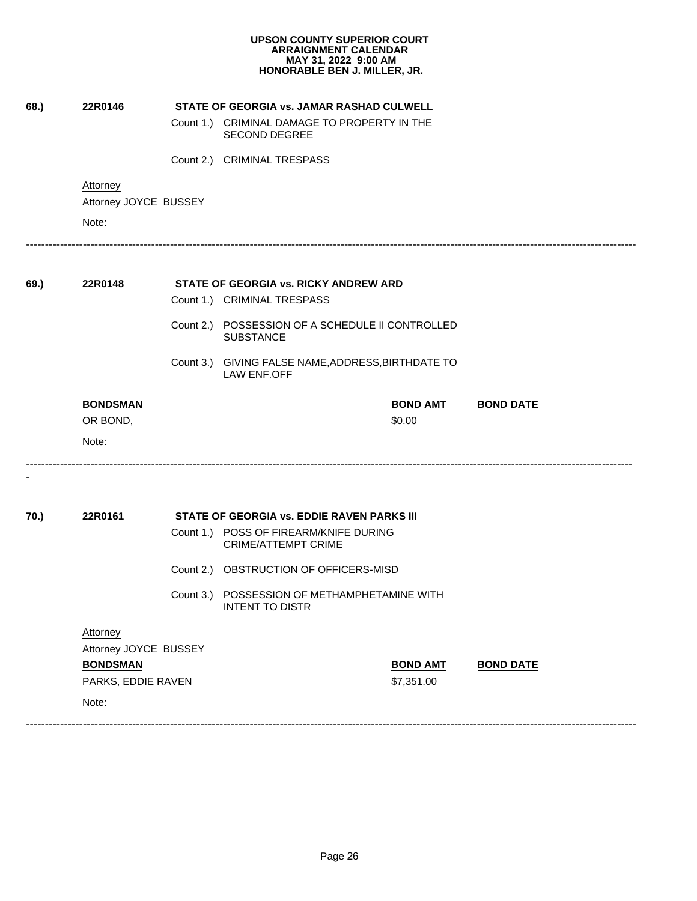|      |                                   |           | <b>UPSON COUNTY SUPERIOR COURT</b><br><b>ARRAIGNMENT CALENDAR</b><br>MAY 31, 2022 9:00 AM<br>HONORABLE BEN J. MILLER, JR. |                           |                  |
|------|-----------------------------------|-----------|---------------------------------------------------------------------------------------------------------------------------|---------------------------|------------------|
| 68.) | 22R0146                           |           | STATE OF GEORGIA vs. JAMAR RASHAD CULWELL                                                                                 |                           |                  |
|      |                                   |           | Count 1.) CRIMINAL DAMAGE TO PROPERTY IN THE<br><b>SECOND DEGREE</b>                                                      |                           |                  |
|      |                                   |           | Count 2.) CRIMINAL TRESPASS                                                                                               |                           |                  |
|      | Attorney<br>Attorney JOYCE BUSSEY |           |                                                                                                                           |                           |                  |
|      | Note:                             |           |                                                                                                                           |                           |                  |
| 69.) | 22R0148                           |           | STATE OF GEORGIA vs. RICKY ANDREW ARD                                                                                     |                           |                  |
|      |                                   |           | Count 1.) CRIMINAL TRESPASS                                                                                               |                           |                  |
|      |                                   |           | Count 2.) POSSESSION OF A SCHEDULE II CONTROLLED<br><b>SUBSTANCE</b>                                                      |                           |                  |
|      |                                   |           | Count 3.) GIVING FALSE NAME, ADDRESS, BIRTHDATE TO<br><b>LAW ENF.OFF</b>                                                  |                           |                  |
|      | <b>BONDSMAN</b><br>OR BOND,       |           |                                                                                                                           | <b>BOND AMT</b><br>\$0.00 | <b>BOND DATE</b> |
|      | Note:                             |           |                                                                                                                           |                           |                  |
| 70.) | 22R0161                           |           | <b>STATE OF GEORGIA VS. EDDIE RAVEN PARKS III</b>                                                                         |                           |                  |
|      |                                   |           | Count 1.) POSS OF FIREARM/KNIFE DURING<br>CRIME/ATTEMPT CRIME                                                             |                           |                  |
|      |                                   | Count 2.) | OBSTRUCTION OF OFFICERS-MISD                                                                                              |                           |                  |
|      |                                   | Count 3.) | POSSESSION OF METHAMPHETAMINE WITH<br><b>INTENT TO DISTR</b>                                                              |                           |                  |
|      | Attorney                          |           |                                                                                                                           |                           |                  |
|      | Attorney JOYCE BUSSEY             |           |                                                                                                                           |                           |                  |
|      | <b>BONDSMAN</b>                   |           |                                                                                                                           | <b>BOND AMT</b>           | <b>BOND DATE</b> |
|      | PARKS, EDDIE RAVEN                |           |                                                                                                                           | \$7,351.00                |                  |
|      | Note:                             |           |                                                                                                                           |                           |                  |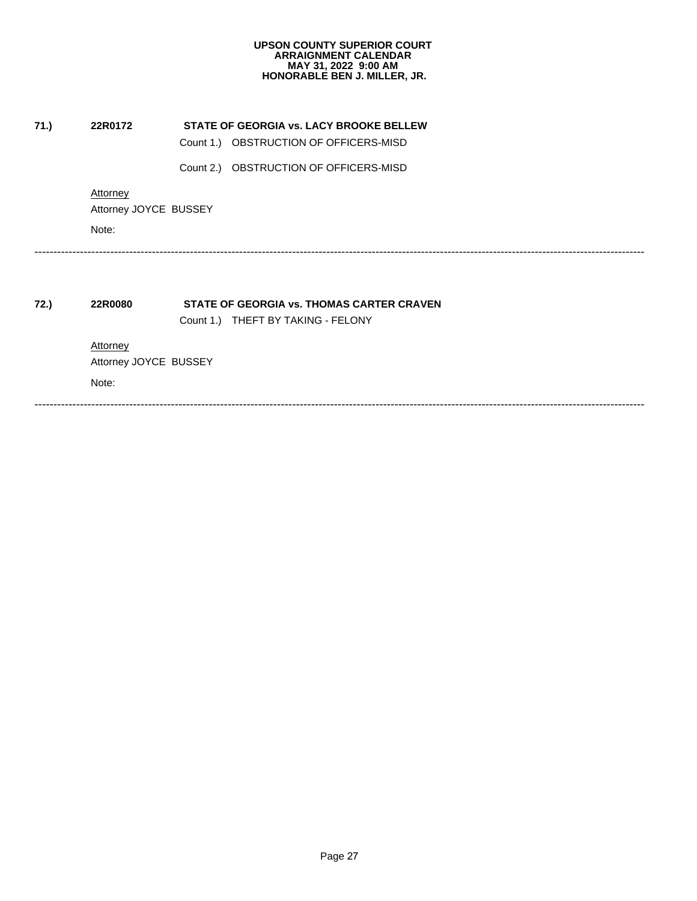| 71.) | 22R0172                           | STATE OF GEORGIA vs. LACY BROOKE BELLEW   |
|------|-----------------------------------|-------------------------------------------|
|      |                                   | Count 1.) OBSTRUCTION OF OFFICERS-MISD    |
|      |                                   | Count 2.) OBSTRUCTION OF OFFICERS-MISD    |
|      | Attorney                          |                                           |
|      | Attorney JOYCE BUSSEY             |                                           |
|      | Note:                             |                                           |
|      |                                   | STATE OF GEORGIA vs. THOMAS CARTER CRAVEN |
| 72.) | 22R0080                           | Count 1.) THEFT BY TAKING - FELONY        |
|      |                                   |                                           |
|      | Attorney<br>Attorney JOYCE BUSSEY |                                           |
|      | Note:                             |                                           |
|      |                                   |                                           |
|      |                                   |                                           |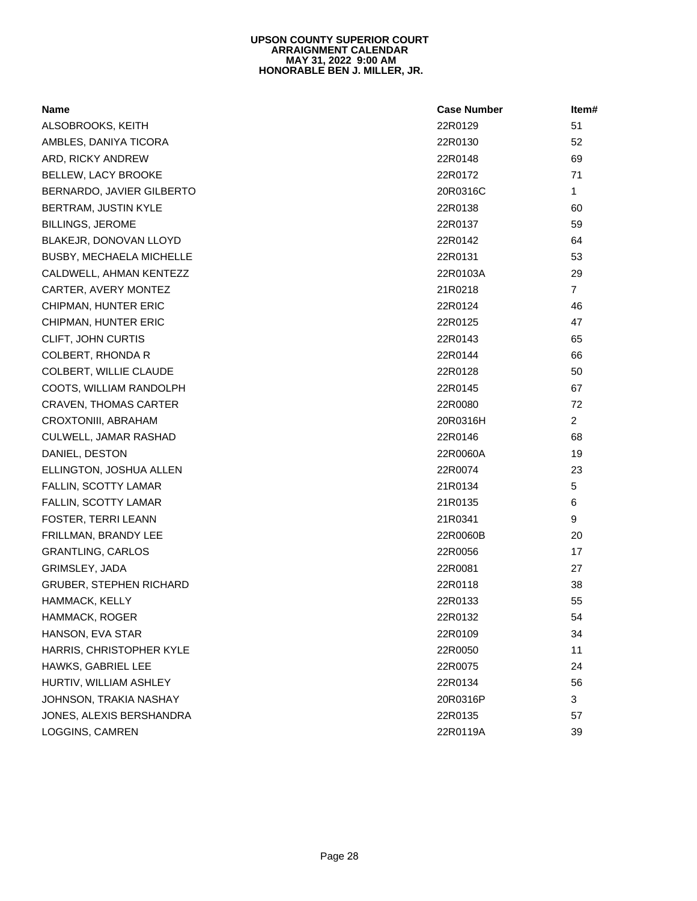| <b>Name</b>               | <b>Case Number</b> | Item#          |  |
|---------------------------|--------------------|----------------|--|
| ALSOBROOKS, KEITH         | 22R0129            | 51             |  |
| AMBLES, DANIYA TICORA     | 22R0130            | 52             |  |
| ARD, RICKY ANDREW         | 22R0148            | 69             |  |
| BELLEW, LACY BROOKE       | 22R0172            | 71             |  |
| BERNARDO, JAVIER GILBERTO | 20R0316C           | $\mathbf{1}$   |  |
| BERTRAM, JUSTIN KYLE      | 22R0138            | 60             |  |
| <b>BILLINGS, JEROME</b>   | 22R0137            | 59             |  |
| BLAKEJR, DONOVAN LLOYD    | 22R0142            | 64             |  |
| BUSBY, MECHAELA MICHELLE  | 22R0131            | 53             |  |
| CALDWELL, AHMAN KENTEZZ   | 22R0103A           | 29             |  |
| CARTER, AVERY MONTEZ      | 21R0218            | $\overline{7}$ |  |
| CHIPMAN, HUNTER ERIC      | 22R0124            | 46             |  |
| CHIPMAN, HUNTER ERIC      | 22R0125            | 47             |  |
| CLIFT, JOHN CURTIS        | 22R0143            | 65             |  |
| COLBERT, RHONDA R         | 22R0144            | 66             |  |
| COLBERT, WILLIE CLAUDE    | 22R0128            | 50             |  |
| COOTS, WILLIAM RANDOLPH   | 22R0145            | 67             |  |
| CRAVEN, THOMAS CARTER     | 22R0080            | 72             |  |
| CROXTONIII, ABRAHAM       | 20R0316H           | $\overline{2}$ |  |
| CULWELL, JAMAR RASHAD     | 22R0146            | 68             |  |
| DANIEL, DESTON            | 22R0060A           | 19             |  |
| ELLINGTON, JOSHUA ALLEN   | 22R0074            | 23             |  |
| FALLIN, SCOTTY LAMAR      | 21R0134            | $\sqrt{5}$     |  |
| FALLIN, SCOTTY LAMAR      | 21R0135            | 6              |  |
| FOSTER, TERRI LEANN       | 21R0341            | 9              |  |
| FRILLMAN, BRANDY LEE      | 22R0060B           | 20             |  |
| <b>GRANTLING, CARLOS</b>  | 22R0056            | 17             |  |
| GRIMSLEY, JADA            | 22R0081            | 27             |  |
| GRUBER, STEPHEN RICHARD   | 22R0118            | 38             |  |
| HAMMACK, KELLY            | 22R0133            | 55             |  |
| HAMMACK, ROGER            | 22R0132            | 54             |  |
| HANSON, EVA STAR          | 22R0109            | 34             |  |
| HARRIS, CHRISTOPHER KYLE  | 22R0050            | 11             |  |
| HAWKS, GABRIEL LEE        | 22R0075            | 24             |  |
| HURTIV, WILLIAM ASHLEY    | 22R0134            | 56             |  |
| JOHNSON, TRAKIA NASHAY    | 20R0316P           | 3              |  |
| JONES, ALEXIS BERSHANDRA  | 22R0135            | 57             |  |
| LOGGINS, CAMREN           | 22R0119A           | 39             |  |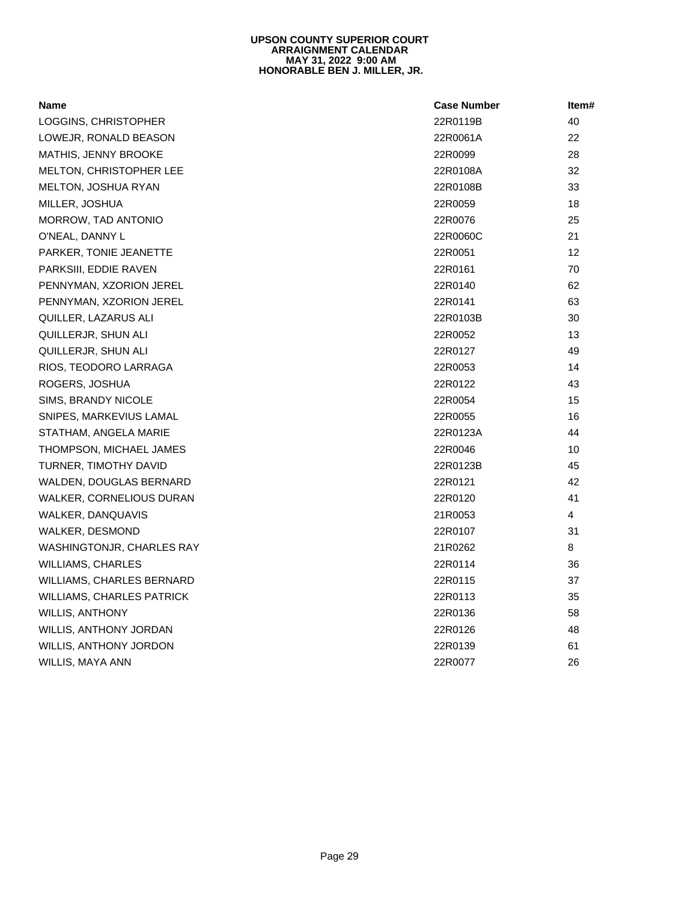| <b>Name</b>                      | <b>Case Number</b> | Item# |  |
|----------------------------------|--------------------|-------|--|
| LOGGINS, CHRISTOPHER             | 22R0119B           | 40    |  |
| LOWEJR, RONALD BEASON            | 22R0061A           | 22    |  |
| MATHIS, JENNY BROOKE             | 22R0099            | 28    |  |
| <b>MELTON, CHRISTOPHER LEE</b>   | 22R0108A           | 32    |  |
| MELTON, JOSHUA RYAN              | 22R0108B           | 33    |  |
| MILLER, JOSHUA                   | 22R0059            | 18    |  |
| MORROW, TAD ANTONIO              | 22R0076            | 25    |  |
| O'NEAL, DANNY L                  | 22R0060C           | 21    |  |
| PARKER, TONIE JEANETTE           | 22R0051            | 12    |  |
| PARKSIII, EDDIE RAVEN            | 22R0161            | 70    |  |
| PENNYMAN, XZORION JEREL          | 22R0140            | 62    |  |
| PENNYMAN, XZORION JEREL          | 22R0141            | 63    |  |
| QUILLER, LAZARUS ALI             | 22R0103B           | 30    |  |
| QUILLERJR, SHUN ALI              | 22R0052            | 13    |  |
| QUILLERJR, SHUN ALI              | 22R0127            | 49    |  |
| RIOS, TEODORO LARRAGA            | 22R0053            | 14    |  |
| ROGERS, JOSHUA                   | 22R0122            | 43    |  |
| SIMS, BRANDY NICOLE              | 22R0054            | 15    |  |
| SNIPES, MARKEVIUS LAMAL          | 22R0055            | 16    |  |
| STATHAM, ANGELA MARIE            | 22R0123A           | 44    |  |
| THOMPSON, MICHAEL JAMES          | 22R0046            | 10    |  |
| TURNER, TIMOTHY DAVID            | 22R0123B           | 45    |  |
| WALDEN, DOUGLAS BERNARD          | 22R0121            | 42    |  |
| WALKER, CORNELIOUS DURAN         | 22R0120            | 41    |  |
| WALKER, DANQUAVIS                | 21R0053            | 4     |  |
| WALKER, DESMOND                  | 22R0107            | 31    |  |
| WASHINGTONJR, CHARLES RAY        | 21R0262            | 8     |  |
| <b>WILLIAMS, CHARLES</b>         | 22R0114            | 36    |  |
| WILLIAMS, CHARLES BERNARD        | 22R0115            | 37    |  |
| <b>WILLIAMS, CHARLES PATRICK</b> | 22R0113            | 35    |  |
| <b>WILLIS, ANTHONY</b>           | 22R0136            | 58    |  |
| WILLIS, ANTHONY JORDAN           | 22R0126            | 48    |  |
| WILLIS, ANTHONY JORDON           | 22R0139            | 61    |  |
| <b>WILLIS, MAYA ANN</b>          | 22R0077            | 26    |  |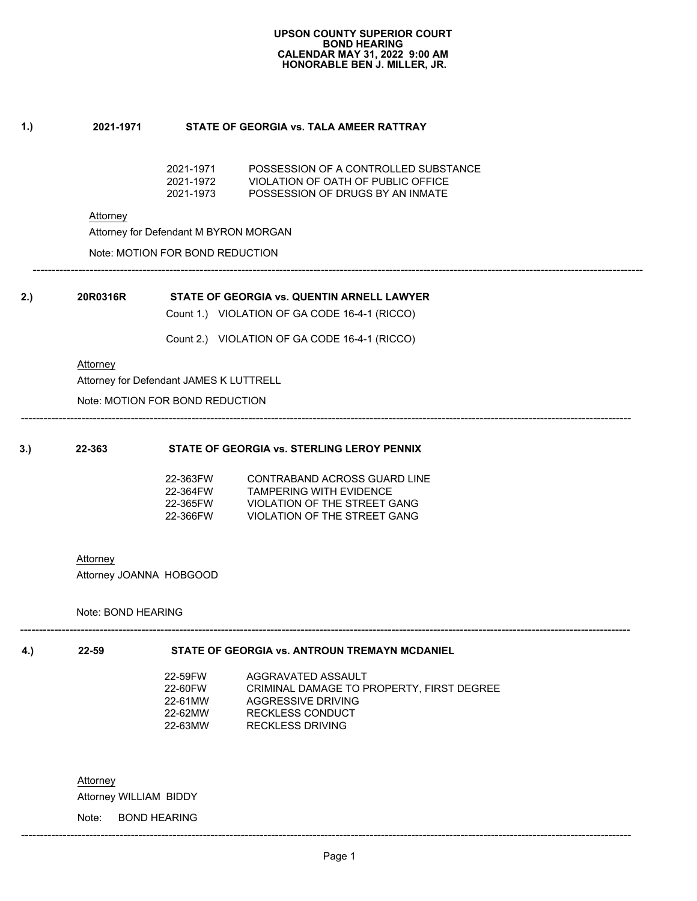## **1.) 2021-1971 STATE OF GEORGIA vs. TALA AMEER RATTRAY**

| 2021-1971 | POSSESSION OF A CONTROLLED SUBSTANCE |
|-----------|--------------------------------------|
| 2021-1972 | VIOLATION OF OATH OF PUBLIC OFFICE.  |
| 2021-1973 | POSSESSION OF DRUGS BY AN INMATE     |

Attorney

Attorney for Defendant M BYRON MORGAN

Note: MOTION FOR BOND REDUCTION

----------------------------------------------------------------------------------------------------------------------------------------------------------------- **2.)**<br> **2.)**<br> **20R0316R**<br> **20R0316R**<br> **20R0316R**<br> **20R0316R**<br> **20R0316R**<br> **20R0316R**<br> **20R0316R**<br> **20H11.**<br> **20DE 164-1 (RICCO)**<br> **20H11.**<br> **2. 20DE 164-1 (RICCO)**<br> **20H12. 20DE 164-1 (RICCO)**<br> **20H12. 20DE 164-1 (RI** 20R0316R STATE OF GEORGIA vs. QUENTIN ARNELL LAWY<br>
Count 1.) VIOLATION OF GA CODE 16-4-1 (RICCO)<br>
Count 2.) VIOLATION OF GA CODE 16-4-1 (RICCO)<br>
Attorney<br>
Attorney for Defendant JAMES K LUTTRELL<br>
Note: MOTION FOR BOND REDU

| 2.)<br>20R0316R |                                         | STATE OF GEORGIA vs. QUENTIN ARNELL LAWYER<br>Count 1.) VIOLATION OF GA CODE 16-4-1 (RICCO) |
|-----------------|-----------------------------------------|---------------------------------------------------------------------------------------------|
|                 |                                         | Count 2.) VIOLATION OF GA CODE 16-4-1 (RICCO)                                               |
| Attorney        | Attorney for Defendant JAMES K LUTTRELL |                                                                                             |
|                 | Note: MOTION FOR BOND REDUCTION         |                                                                                             |
|                 |                                         |                                                                                             |
| 3.)<br>22-363   |                                         | STATE OF GEORGIA vs. STERLING LEROY PENNIX                                                  |
|                 | 22-363FW<br>22-364FW                    | <b>CONTRABAND ACROSS GUARD LINE</b><br><b>TAMPERING WITH EVIDENCE</b>                       |
|                 | 22-365FW                                | VIOLATION OF THE STREET GANG                                                                |
|                 | 22-366FW                                | <b>VIOLATION OF THE STREET GANG</b>                                                         |
| Attorney        |                                         |                                                                                             |

-----------------------------------------------------------------------------------------------------------------------------------------------------------------

Note: BOND HEARING

Note: BOND HEARING<br> **4.)**22-59 STATE OF GEORGIA vs. ANTROUN TREMAYN MCDANIEL
22-59 STATE OF GEORGIA vs. ANTROUN TREMAYN MCDANIEL
22-59FW AGGRAVATED ASSAULT
22-60FW CRIMINAL DAMAGE TO PROPERTY, FIRST
22-61MW RECKLESS DRIVI 22-59FW AGGRAVATED ASSAULT 22-60FW CRIMINAL DAMAGE TO PROPERTY, FIRST DEGREE<br>22-61MW AGGRESSIVE DRIVING 22-61MW AGGRESSIVE DRIVING<br>22-62MW RECKLESS CONDUCT 22-62MW RECKLESS CONDUCT<br>22-63MW RECKLESS DRIVING RECKLESS DRIVING

-----------------------------------------------------------------------------------------------------------------------------------------------------------------

Attorney

Attorney WILLIAM BIDDY

Note: BOND HEARING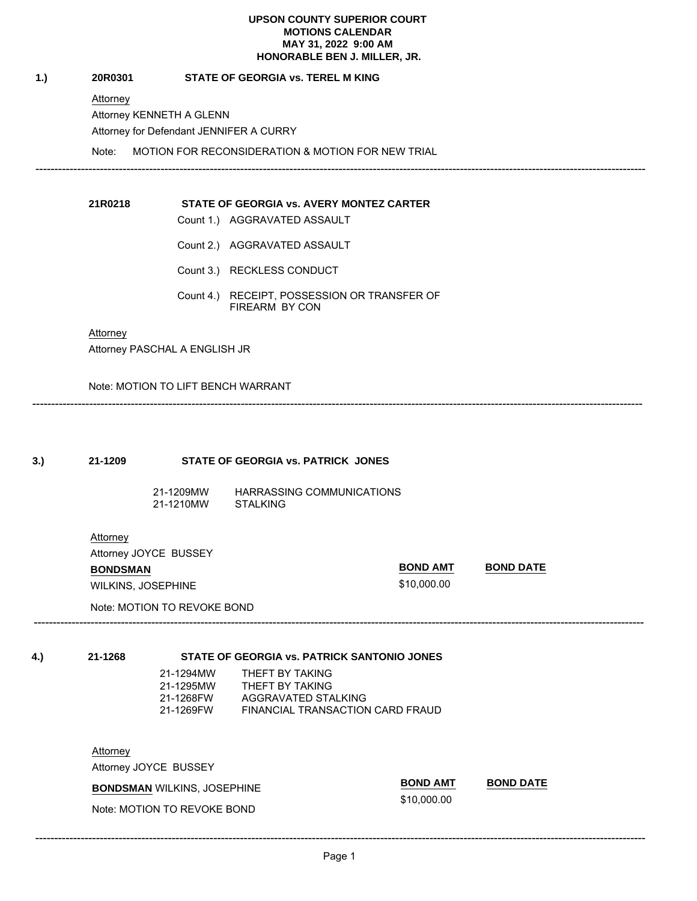Attorney

MAY 31, 2022 9:00<br>
HONORABLE BEN J. MIL<br>
20R0301 STATE OF GEORGIA vs. TEREL M KING<br>
Attorney KENNETH A GLENN<br>
Attorney for Defendant JENNIFER A CURRY<br>
Note: MOTION FOR RECONSIDERATION & MOTION FOR<br>
21R0218 STATE OF GEORGIA Attorney KENNETH A GLENN Attorney for Defendant JENNIFER A CURRY

-----------------------------------------------------------------------------------------------------------------------------------------------------------------

**21R0218 STATE OF GEORGIA vs. AVERY MONTEZ CARTER**

- 
- 
- 
- Note: MOTION FOR RECONSIDERATION & MOTION FOR NEW TRIAL 21R0218<br>
STATE OF GEORGIA vs. AVERY M<br>
Count 1.) AGGRAVATED ASSAULT<br>
Count 2.) AGGRAVATED ASSAULT<br>
Count 3.) RECKLESS CONDUCT<br>
Count 4.) RECEIPT, POSSESSION<br>
FIREARM BY CON<br>
Attorney<br>
Attorney PASCHAL A ENGLISH JR 21R0218<br>
STATE OF GEORGIA vs. AVERY M<br>
Count 1.) AGGRAVATED ASSAULT<br>
Count 2.) AGGRAVATED ASSAULT<br>
Count 3.) RECKLESS CONDUCT<br>
Count 4.) RECEIPT, POSSESSION<br>
FIREARM BY CON<br>
Attorney<br>
Attorney PASCHAL A ENGLISH JR<br>
Note: M Count 3.) RECKLESS CONDUCT Count 4.) RECEIPT, POSSESSION OR TRANSFER OF FIREARM BY CON

**Attorney** 

Attorney PASCHAL A ENGLISH JR

Note: MOTION TO LIFT BENCH WARRANT

| 3.) | 21-1209                     |                                                                                   | STATE OF GEORGIA vs. PATRICK JONES           |
|-----|-----------------------------|-----------------------------------------------------------------------------------|----------------------------------------------|
|     |                             | 21-1209MW<br>21-1210MW                                                            | HARRASSING COMMUNICATIONS<br><b>STALKING</b> |
|     | Attorney<br><b>BONDSMAN</b> | Attorney JOYCE BUSSEY<br><b>WILKINS, JOSEPHINE</b><br>Note: MOTION TO REVOKE BOND | 9                                            |

\$10,000.00

**BOND AMT BOND DATE**

**4.)**<br> **4.)**<br> **21-1268 STATE OF GEORGIA vs. PATRICK SANTONIO JONES**<br>
21-1294MW THEFT BY TAKING<br>
21-1295MW THEFT BY TAKING<br>
21-1269FW AGGRAVATED STALKING<br>
21-1269FW AGGRAVATED STALKING<br>
21-1269FW FINANCIAL TRANSACTION CAR 21-1294MW THEFT BY TAKING 21-1295MW THEFT BY TAKING 21-1268FW AGGRAVATED STALKING FINANCIAL TRANSACTION CARD FRAUD

**Attorney** 

Attorney JOYCE BUSSEY

**BONDSMAN** WILKINS, JOSEPHINE

Note: MOTION TO REVOKE BOND

**BOND AMT BOND DATE**

\$10,000.00

-----------------------------------------------------------------------------------------------------------------------------------------------------------------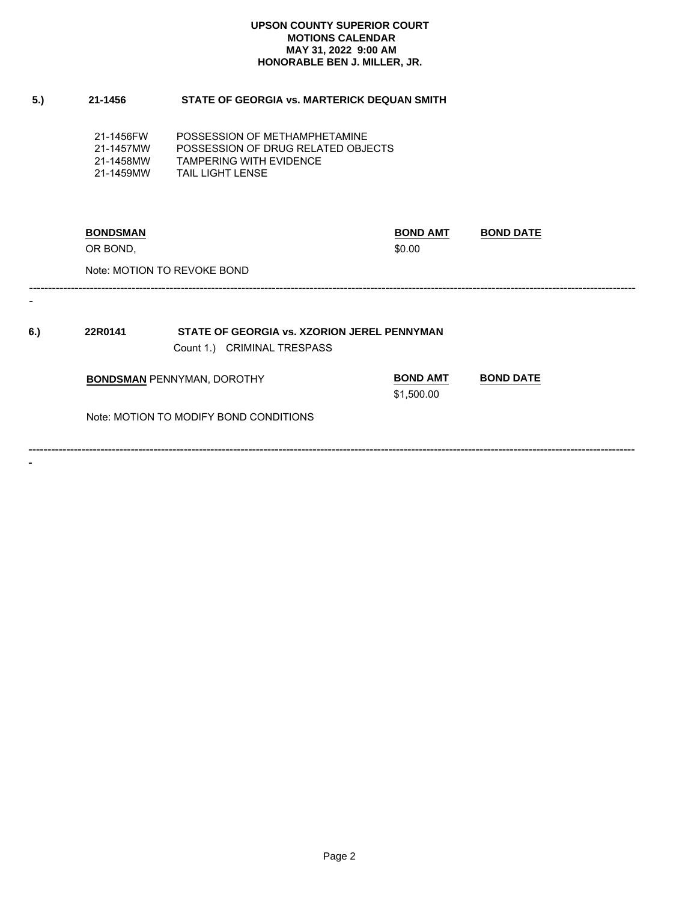| 5.) | 21-1456                                          | STATE OF GEORGIA vs. MARTERICK DEQUAN SMITH                                                                               |                               |                  |
|-----|--------------------------------------------------|---------------------------------------------------------------------------------------------------------------------------|-------------------------------|------------------|
|     | 21-1456FW<br>21-1457MW<br>21-1458MW<br>21-1459MW | POSSESSION OF METHAMPHETAMINE<br>POSSESSION OF DRUG RELATED OBJECTS<br><b>TAMPERING WITH EVIDENCE</b><br>TAIL LIGHT LENSE |                               |                  |
|     | <b>BONDSMAN</b><br>OR BOND,                      |                                                                                                                           | <b>BOND AMT</b><br>\$0.00     | <b>BOND DATE</b> |
|     |                                                  | Note: MOTION TO REVOKE BOND                                                                                               |                               |                  |
| 6.) | 22R0141                                          | STATE OF GEORGIA vs. XZORION JEREL PENNYMAN                                                                               |                               |                  |
|     |                                                  | Count 1.) CRIMINAL TRESPASS                                                                                               |                               |                  |
|     |                                                  | <b>BONDSMAN PENNYMAN, DOROTHY</b>                                                                                         | <b>BOND AMT</b><br>\$1,500.00 | <b>BOND DATE</b> |
|     |                                                  | Note: MOTION TO MODIFY BOND CONDITIONS                                                                                    |                               |                  |
|     |                                                  |                                                                                                                           |                               |                  |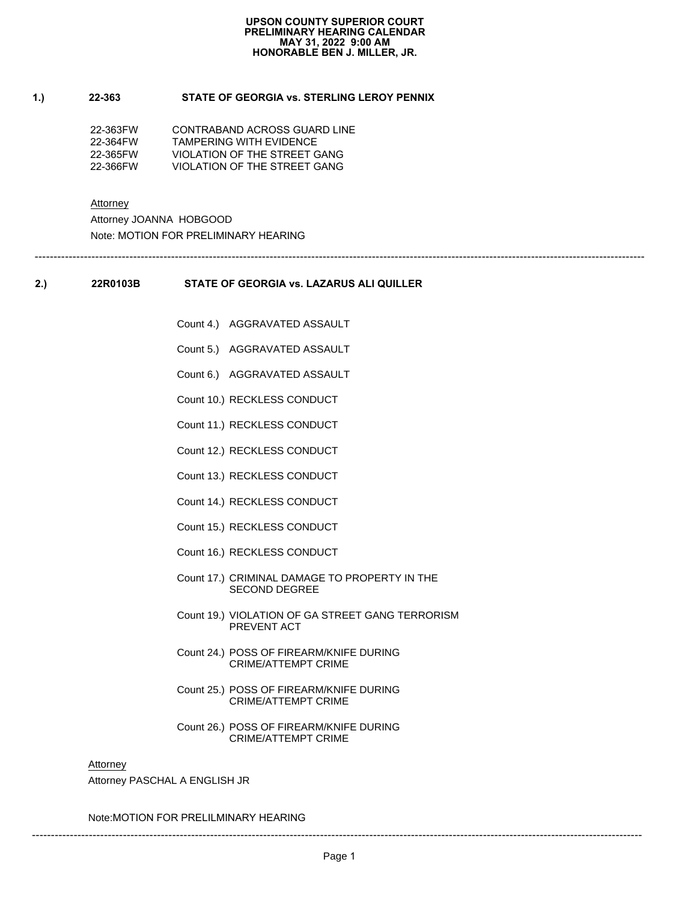-----------------------------------------------------------------------------------------------------------------------------------------------------------------

# **1.) 22-363 STATE OF GEORGIA vs. STERLING LEROY PENNIX**

| 22-363FW | CONTRABAND ACROSS GUARD LINE |
|----------|------------------------------|
| 22-364FW | TAMPFRING WITH FVIDENCE      |
| 22-365FW | VIOLATION OF THE STREET GANG |
| 22-366FW | VIOLATION OF THE STREET GANG |

Attorney

Attorney JOANNA HOBGOOD Note: MOTION FOR PRELIMINARY HEARING

**2.)**<br> **22R0103B**<br> **22R0103B**<br> **22R0103B**<br> **22R0103B**<br> **22R0103B**<br> **22R0103B**<br> **22R0103B**<br> **22R0103B**<br> **22R0103B**<br> **22R0103B**<br> **22R0103B**<br> **22R0103B**<br> **22R0103B**<br> **22R0103B**<br> **22R0103B**<br> **22R0103B**<br> **22R0103B**<br> **22R0103B**<br>

- SIAIE OF GEORGIA vs. LAZARU:<br>Count 4.) AGGRAVATED ASSAULT<br>Count 5.) AGGRAVATED ASSAULT<br>Count 6.) AGGRAVATED ASSAULT<br>Count 10.) RECKLESS CONDUCT<br>Count 11.) RECKLESS CONDUCT<br>Count 12.) RECKLESS CONDUCT Count 4.) AGGRAVATED ASSAULT<br>Count 5.) AGGRAVATED ASSAULT<br>Count 6.) AGGRAVATED ASSAULT<br>Count 10.) RECKLESS CONDUCT<br>Count 11.) RECKLESS CONDUCT<br>Count 12.) RECKLESS CONDUCT<br>Count 13.) RECKLESS CONDUCT
- Count 5.) AGGRAVATED ASSAULT<br>Count 6.) AGGRAVATED ASSAULT<br>Count 10.) RECKLESS CONDUCT<br>Count 11.) RECKLESS CONDUCT<br>Count 12.) RECKLESS CONDUCT<br>Count 13.) RECKLESS CONDUCT<br>Count 14.) RECKLESS CONDUCT
- Count 6.) AGGRAVATED ASSAU<br>Count 10.) RECKLESS CONDUCT<br>Count 11.) RECKLESS CONDUCT<br>Count 12.) RECKLESS CONDUCT<br>Count 13.) RECKLESS CONDUCT<br>Count 15.) RECKLESS CONDUCT<br>Count 15.) RECKLESS CONDUCT
- 
- 
- 
- 
- 
- 
- 
- Count 10.) RECKLESS CONDUCT<br>Count 11.) RECKLESS CONDUCT<br>Count 12.) RECKLESS CONDUCT<br>Count 13.) RECKLESS CONDUCT<br>Count 14.) RECKLESS CONDUCT<br>Count 15.) RECKLESS CONDUCT<br>Count 16.) RECKLESS CONDUCT<br>Count 17.) CRIMINAL DAMAGE Count 11.) RECKLESS CONDUCT<br>Count 12.) RECKLESS CONDUCT<br>Count 13.) RECKLESS CONDUCT<br>Count 14.) RECKLESS CONDUCT<br>Count 15.) RECKLESS CONDUCT<br>Count 16.) RECKLESS CONDUCT<br>Count 17.) CRIMINAL DAMAGE TO<br>SECOND DEGREE Count 12.) RECKLESS CONDUCT<br>Count 13.) RECKLESS CONDUCT<br>Count 14.) RECKLESS CONDUCT<br>Count 15.) RECKLESS CONDUCT<br>Count 16.) RECKLESS CONDUCT<br>Count 17.) CRIMINAL DAMAGE TO<br>SECOND DEGREE<br>Count 19.) VIOLATION OF GA STF<br>PREVENT Count 13.) RECKLESS CONDUCT<br>Count 14.) RECKLESS CONDUCT<br>Count 15.) RECKLESS CONDUCT<br>Count 16.) RECKLESS CONDUCT<br>Count 17.) CRIMINAL DAMAGE TO<br>SECOND DEGREE<br>Count 19.) VIOLATION OF GA STF<br>PREVENT ACT<br>Count 24.) POSS OF FIRE Count 14.) RECKLESS CONDUCT<br>Count 15.) RECKLESS CONDUCT<br>Count 16.) RECKLESS CONDUCT<br>Count 17.) CRIMINAL DAMAGE TO<br>SECOND DEGREE<br>Count 19.) VIOLATION OF GA STF<br>PREVENT ACT<br>Count 24.) POSS OF FIREARM/KN<br>CRIME/ATTEMPT CRIN Count 15.) RECKLESS CONDUCT<br>Count 16.) RECKLESS CONDUCT<br>Count 17.) CRIMINAL DAMAGE TO<br>SECOND DEGREE<br>Count 19.) VIOLATION OF GA STIF<br>PREVENT ACT<br>Count 24.) POSS OF FIREARM/KN<br>CRIME/ATTEMPT CRIN<br>Count 25.) POSS OF FIREARM/KN Count 16.) RECKLESS CONDUCT<br>
Count 17.) CRIMINAL DAMAGE TO PROPERTY IN THE<br>
SECOND DEGREE<br>
Count 19.) VIOLATION OF GA STREET GANG TERROF<br>
PREVENT ACT<br>
Count 24.) POSS OF FIREARM/KNIFE DURING<br>
CRIME/ATTEMPT CRIME<br>
Count 25. SECOND DEGREE
- Count 17.) CRIMINAL DAMAGE TO PROPERTY IN THE<br>SECOND DEGREE<br>Count 19.) VIOLATION OF GA STREET GANG TERRORISM<br>PREVENT ACT<br>Count 24.) POSS OF FIREARM/KNIFE DURING<br>CRIME/ATTEMPT CRIME<br>Count 26.) POSS OF FIREARM/KNIFE DURING<br>C PREVENT ACT
- Count 19.) VIOLATION OF GA STREET GANG<br>
PREVENT ACT<br>
Count 24.) POSS OF FIREARM/KNIFE DURING<br>
CRIME/ATTEMPT CRIME<br>
Count 25.) POSS OF FIREARM/KNIFE DURING<br>
CRIME/ATTEMPT CRIME<br>
Count 26.) POSS OF FIREARM/KNIFE DURING<br>
CRIM CRIME/ATTEMPT CRIME
- Count 24.) POSS OF FIREARM/KNIFE DURING<br>CRIME/ATTEMPT CRIME<br>Count 25.) POSS OF FIREARM/KNIFE DURING<br>CRIME/ATTEMPT CRIME<br>Count 26.) POSS OF FIREARM/KNIFE DURING<br>CRIME/ATTEMPT CRIME<br>A ENGLISH JR<br>PRELILMINARY HEARING CRIME/ATTEMPT CRIME
- Count 25.) POSS OF FIREARM/KNIFE DURING<br>CRIME/ATTEMPT CRIME<br>Count 26.) POSS OF FIREARM/KNIFE DURING<br>CRIME/ATTEMPT CRIME<br>A ENGLISH JR<br>PRELILMINARY HEARING<br>CRIME-REARING<br>CRIME-REARING<br>Page 1 CRIME/ATTEMPT CRIME

### Attorney

Attorney PASCHAL A ENGLISH JR

Note:MOTION FOR PRELILMINARY HEARING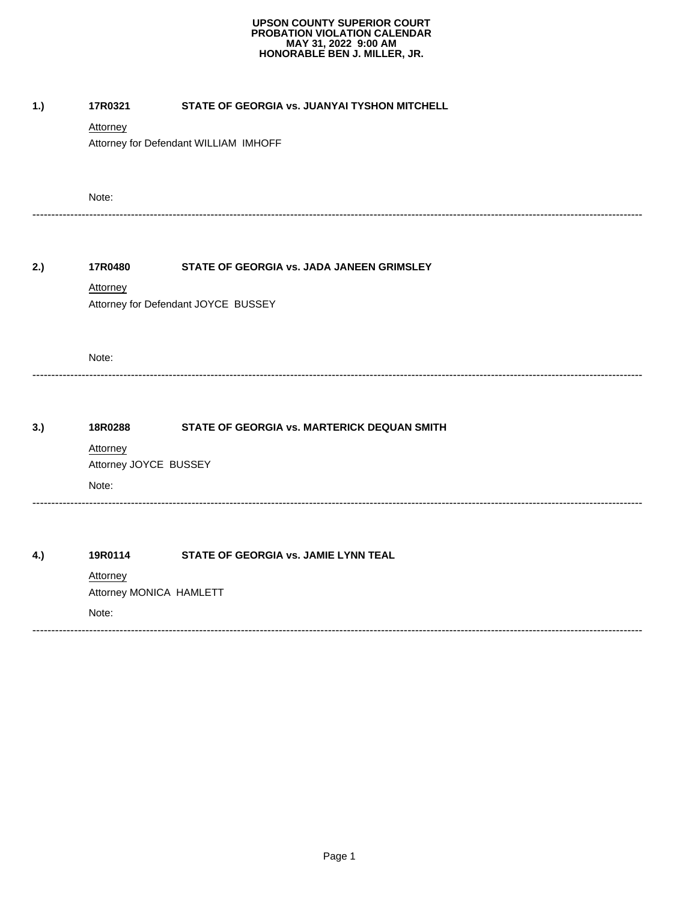| 17R0321                             | STATE OF GEORGIA vs. JUANYAI TYSHON MITCHELL          |
|-------------------------------------|-------------------------------------------------------|
| Attorney                            |                                                       |
|                                     | Attorney for Defendant WILLIAM IMHOFF                 |
| Note:                               |                                                       |
| 17R0480                             | STATE OF GEORGIA vs. JADA JANEEN GRIMSLEY             |
| <b>Attorney</b>                     |                                                       |
|                                     | Attorney for Defendant JOYCE BUSSEY                   |
| Note:                               |                                                       |
|                                     |                                                       |
|                                     | STATE OF GEORGIA vs. MARTERICK DEQUAN SMITH           |
|                                     |                                                       |
|                                     |                                                       |
|                                     |                                                       |
| 19R0114                             | STATE OF GEORGIA vs. JAMIE LYNN TEAL                  |
| Attorney<br>Attorney MONICA HAMLETT |                                                       |
| Note:                               |                                                       |
|                                     | 18R0288<br>Attorney<br>Attorney JOYCE BUSSEY<br>Note: |